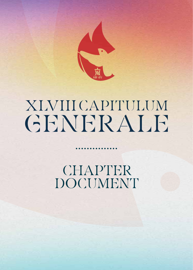

# XLVIIICAPITULUM GENERALE

CHAPTER DOCUMENT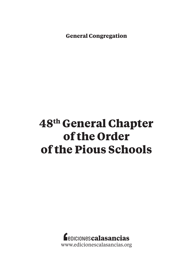**General Congregation**

## **48th General Chapter of the Order of the Pious Schools**

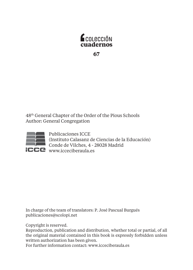

48th General Chapter of the Order of the Pious Schools Author: General Congregation



Publicaciones ICCE (Instituto Calasanz de Ciencias de la Educación) **Conde de Vilches, 4 - 28028 Madrid** www.icceciberaula.es

In charge of the team of translators: P. José Pascual Burgués publicaciones@scolopi.net

Copyright is reserved.

Reproduction, publication and distribution, whether total or partial, of all the original material contained in this book is expressly forbidden unless written authorization has been given.

For further information contact: www.icceciberaula.es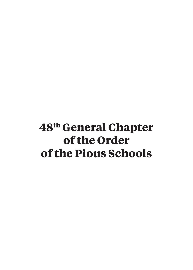## **48th General Chapter of the Order of the Pious Schools**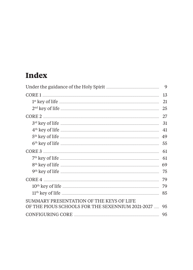## **Index**

|                                                                                                                                                                                                                                                                                                                                                                                        | 9  |
|----------------------------------------------------------------------------------------------------------------------------------------------------------------------------------------------------------------------------------------------------------------------------------------------------------------------------------------------------------------------------------------|----|
| $\textbf{CORE} \texttt{1} \texttt{} \texttt{} \texttt{} \texttt{} \texttt{} \texttt{} \texttt{} \texttt{} \texttt{} \texttt{} \texttt{} \texttt{} \texttt{} \texttt{} \texttt{} \texttt{} \texttt{} \texttt{} \texttt{} \texttt{} \texttt{} \texttt{} \texttt{} \texttt{} \texttt{} \texttt{} \texttt{} \texttt{} \texttt{} \texttt{} \texttt{} \texttt{} \texttt{} \texttt{} \texttt$ | 13 |
|                                                                                                                                                                                                                                                                                                                                                                                        | 21 |
|                                                                                                                                                                                                                                                                                                                                                                                        | 25 |
|                                                                                                                                                                                                                                                                                                                                                                                        | 27 |
|                                                                                                                                                                                                                                                                                                                                                                                        | 31 |
| 4 <sup>th</sup> key of life <b>contract the contract of the contract of the contract of the contract of the contract of the contract of the contract of the contract of the contract of the contract of the contract of the contract of th</b>                                                                                                                                         | 41 |
|                                                                                                                                                                                                                                                                                                                                                                                        | 49 |
| 6 <sup>th</sup> key of life <b>with the contract of life contract of the contract of life contract of life contract of life contract of life contract of life contract of life contract of life contract of life contrac</b>                                                                                                                                                           | 55 |
| CORE 3                                                                                                                                                                                                                                                                                                                                                                                 | 61 |
| $7th$ key of life $\overline{ }$                                                                                                                                                                                                                                                                                                                                                       | 61 |
| 8 <sup>th</sup> key of life <b>with the contract of life</b> and the set of life <b>and the set of life</b> and the set of life <b>and the set of the set of the set of the set of the set of the set of the set of the set of the set of the set of</b>                                                                                                                               | 69 |
|                                                                                                                                                                                                                                                                                                                                                                                        | 75 |
| CORE 4                                                                                                                                                                                                                                                                                                                                                                                 | 79 |
|                                                                                                                                                                                                                                                                                                                                                                                        | 79 |
|                                                                                                                                                                                                                                                                                                                                                                                        | 85 |
| SUMMARY PRESENTATION OF THE KEYS OF LIFE<br>OF THE PIOUS SCHOOLS FOR THE SEXENNIUM 2021-2027                                                                                                                                                                                                                                                                                           | 95 |
|                                                                                                                                                                                                                                                                                                                                                                                        | 95 |
|                                                                                                                                                                                                                                                                                                                                                                                        |    |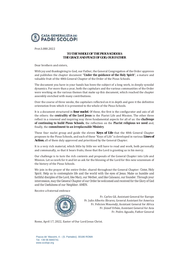

Prot S 080 2022

#### **TO THE WHOLE OF THE PIOUS SCHOOLS THE GRACE AND PEACE OF GOD, OUR FATHER**

Dear brothers and sisters

With joy and thanksgiving to God, our Father, the General Congregation of the Order approves and publishes the chapter document "*Under the guidance of the Holy Spirit*", a mature and valuable fruit of the 48th General Chapter of the Order of the Pious Schools.

The document you have in your hands has been the subject of a long work in deeply synodal dynamics. For more than a year, both the capitulars and the various communities of the Order were working on the various themes that make up this document, which reached the chapter assembly enriched with many contributions.

Over the course of three weeks, the capitulars reflected on it in depth and gave it the definitive orientation from which it is presented to the whole of the Pious Schools.

It is a document structured in four nuclei. Of these, the first is the configurator and axis of all the others: the *centrality of the Lord Jesus* in the Piarist Life and Mission. The other three reflect in a renewed and inspiring way three fundamental aspects for all of us: the *challenge of continuing to build Pious Schools*, the reflection on the *Piarist religious we need* and, finally, the *commitment to an irreplaceable Ministry*.

These four nuclei group and guide the eleven Keys of Life that the 48th General Chapter proposes to the Pious Schools, and each of these "Keys of Life" is developed in various Lines of Action, all of them duly approved and prioritized by the General Chapter.

It is a very rich material, which little by little we will have to read and work, both personally and communally, so that it bears fruits, those that the Lord is granting us in his mercy.

Our challenge is to turn the rich contents and proposals of the General Chapter into Life and Mission. Let us work for it and let us ask for the blessing of the Lord for this new sexennium of the history of the Pious Schools.

We join in the prayer of the entire Order, shared throughout the General Chapter: Come, Holy Spirit. Help us to contemplate life and the world with the eyes of Jesus. Make us humble and faithful disciples of the Lord, like Mary, our Mother, and like Calasanz, our founder. Through your *intercession, may the General Chapter of our Order be welcomed and received for the Glory of God and the Usefulness of our Neighbor. AMEN.* 

Receive a fraternal embrace



Fr. Carles Gil, Assistant General for Europe Fr. Julio Alberto Álvarez, General Assistant for America Fr. Felicien Mouendji, Assistant General for Africa Fr. József Urbán, Assistant General for Asia Fr. Pedro Aguado, Father General

Rome, April 17, 2022, Easter of Our Lord Jesus Christ.

Piazza de' Massimi, 4 – (S. Pantaleo). 00186 ROMA Tel. +39 06 6840741 www.scolopi.org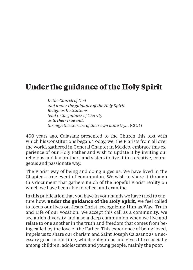## **Under the guidance of the Holy Spirit**

*In the Church of God and under the guidance of the Holy Spirit, Religious Institutions tend to the fullness of Charity as to their true end, through the exercise of their own ministry…* (CC. 1)

400 years ago, Calasanz presented to the Church this text with which his Constitutions began. Today, we, the Piarists from all over the world, gathered in General Chapter in Mexico, embrace this experience of our Holy Father and wish to update it by inviting our religious and lay brothers and sisters to live it in a creative, courageous and passionate way.

The Piarist way of being and doing urges us. We have lived in the Chapter a true event of communion. We wish to share it through this document that gathers much of the hopeful Piarist reality on which we have been able to reflect and examine.

In this publication that you have in your hands we have tried to capture how, **under the guidance of the Holy Spirit,** we feel called to focus our lives on Jesus Christ, recognizing Him as Way, Truth and Life of our vocation. We accept this call as a community. We see a rich diversity and also a deep communion when we live and relate to one another in the truth and freedom that comes from being called by the love of the Father. This experience of being loved, impels us to share our charism and Saint Joseph Calasanz as a necessary good in our time, which enlightens and gives life especially among children, adolescents and young people, mainly the poor.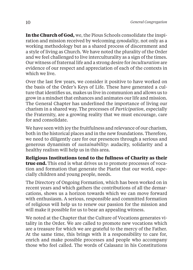**In the Church of God,** we, the Pious Schools consolidate the inspiration and mission received by welcoming *synodality*, not only as a working methodology but as a shared process of discernment and a style of living as Church. We have noted the plurality of the Order and we feel challenged to live interculturality as a sign of the times. Our witness of fraternal life and a strong desire for *inculturation* are evidence of our respect and appreciation of each of the contexts in which we live.

Over the last few years, we consider it positive to have worked on the basis of the Order's Keys of Life. These have generated a culture that identifies us, makes us live in communion and allows us to grow in a mindset that enhances and animates our life and mission. The General Chapter has underlined the importance of living our charism in a shared way. The processes of *Participation*, especially the Fraternity, are a growing reality that we must encourage, care for and consolidate.

We have seen with joy the fruitfulness and relevance of our charism, both in the historical places and in the new foundations. Therefore, we need to diligently care for our presences through a serious and generous dynamism of *sustainability*: audacity, solidarity and a healthy realism will help us in this area.

**Religious Institutions tend to the fullness of Charity as their true end.** This end is what drives us to promote processes of vocation and formation that generate the Piarist that our world, especially children and young people, needs.

The Directory of Ongoing Formation, which has been worked on in recent years and which gathers the contributions of all the demarcations, shows us a horizon towards which we can move forward with enthusiasm. A serious, responsible and committed formation of religious will help us to renew our passion for the mission and will make it possible for us to bear an appealing witness.

We noted at the Chapter that the Culture of Vocations generates vitality in the Order. We are called to promote new vocations which are a treasure for which we are grateful to the mercy of the Father. At the same time, this brings with it a responsibility to care for, enrich and make possible processes and people who accompany those who feel called. The words of Calasanz in his Constitutions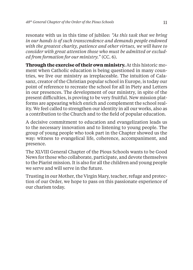resonate with us in this time of jubilee: *"As this task that we bring in our hands is of such transcendence and demands people endowed with the greatest charity, patience and other virtues, we will have to consider with great attention those who must be admitted or excluded from formation for our ministry."* (CC. 6).

**Through the exercise of their own ministry.** At this historic moment when Catholic education is being questioned in many countries, we live our ministry as irreplaceable. The intuition of Calasanz, creator of the Christian popular school in Europe, is today our point of reference to recreate the school for all in Piety and Letters in our presences. The development of our ministry, in spite of the present difficulties, is proving to be very fruitful. New mission platforms are appearing which enrich and complement the school reality. We feel called to strengthen our identity in all our works, also as a contribution to the Church and to the field of popular education.

A decisive commitment to education and evangelization leads us to the necessary innovation and to listening to young people. The group of young people who took part in the Chapter showed us the way: witness to evangelical life, coherence, accompaniment, and presence.

The XLVIII General Chapter of the Pious Schools wants to be Good News for those who collaborate, participate, and devote themselves to the Piarist mission. It is also for all the children and young people we serve and will serve in the future.

Trusting in our Mother, the Virgin Mary, teacher, refuge and protection of our Order, we hope to pass on this passionate experience of our charism today.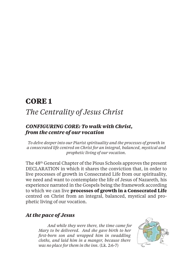## **CORE 1**

## *The Centrality of Jesus Christ*

#### *CONFIGURING CORE: To walk with Christ, from the centre of our vocation*

*To delve deeper into our Piarist spirituality and the processes of growth in a consecrated life centred on Christ for an integral, balanced, mystical and prophetic living of our vocation.*

The 48th General Chapter of the Pious Schools approves the present DECLARATION in which it shares the conviction that, in order to live processes of growth in Consecrated Life from our spirituality, we need and want to contemplate the life of Jesus of Nazareth, his experience narrated in the Gospels being the framework according to which we can live **processes of growth in a Consecrated Life** centred on Christ from an integral, balanced, mystical and prophetic living of our vocation.

#### *At the pace of Jesus*

*And while they were there, the time came for Mary to be delivered. And she gave birth to her fi rst-born son and wrapped him in swaddling cloths, and laid him in a manger, because there was no place for them in the inn.* (Lk. 2:6-7)

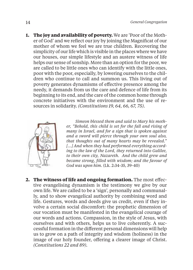**1. The joy and availability of poverty.** We are 'Poor of the Mother of God' and we reflect our joy by joining the Magnificat of our mother of whom we feel we are true children. Recovering the simplicity of our life which is visible in the places where we have our houses, our simple lifestyle and an austere witness of life helps our sense of sonship. More than an option for the poor, we are called to be little ones who can identify with the little ones, poor with the poor, especially, by lowering ourselves to the children who continue to call and summon us. This living out of poverty generates dynamisms of effective presence among the needy, it demands from us the care and defence of life from its beginning to its end, and the care of the common home through

concrete initiatives with the environment and the use of re-

sources in solidarity. *(Constitutions 19, 64, 66, 67, 75).*



*Simeon blessed them and said to Mary his mother, "Behold, this child is set for the fall and rising of many in Israel, and for a sign that is spoken against and a sword will pierce through your own soul also, that thoughts out of many hearts may be revealed." […] And when they had performed everything according to the law of the Lord, they returned into Galilee, to their own city, Nazareth. And the child grew and became strong, fi lled with wisdom; and the favour of God was upon him.* (Lk. 2:34-35, 39-40)

**2. The witness of life and ongoing formation.** The most effective evangelising dynamism is the testimony we give by our own life. We are called to be a 'sign', personally and communally, and to show evangelical authority by combining word and life. Gestures, words and deeds give us credit, even if they involve a certain social discomfort: the prophetic dimension of our vocation must be manifested in the evangelical courage of our words and actions. Compassion, in the style of Jesus, with ourselves and with others, helps us to live coherently. A successful formation in the different personal dimensions will help us to grow on a path of integrity and wisdom (holiness) in the image of our holy founder, offering a clearer image of Christ. *(Constitutions 22 and 89).*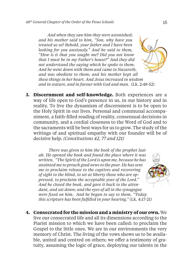*And when they saw him they were astonished; and his mother said to him, "Son, why have you treated us so? Behold, your father and I have been looking for you anxiously." And he said to them, "How is it that you sought me? Did you not know that I must be in my Father's house?" And they did not understand the saying which he spoke to them. And he went down with them and came to Nazareth, and was obedient to them; and his mother kept all these things in her heart. And Jesus increased in wisdom and in stature, and in favour with God and man.* (Lk. 2:48-52)

**3. Discernment and self-knowledge.** Both experiences are a way of life open to God's presence in us, in our history and in reality. To live the dynamism of discernment is to be open to the Holy Spirit in our lives. Personal and communal accompaniment, a faith-filled reading of reality, consensual decisions in community, and a cordial closeness to the Word of God and to the sacraments will be best ways for us to grow. The study of the writings of and spiritual empathy with our founder will be of decisive help. *(Constitutions 42, 77 and 121)* 

 *There was given to him the book of the prophet Isaiah. He opened the book and found the place where it was written, "The Spirit of the Lord is upon me, because he has anointed me to preach good news to the poor. He has sent me to proclaim release to the captives and recovering of sight to the blind, to set at liberty those who are oppressed, to proclaim the acceptable year of the Lord." And he closed the book, and gave it back to the attendant, and sat down; and the eyes of all in the synagogue were fi xed on him. And he began to say to them, "Today this scripture has been fulfi lled in your hearing."* (Lk. 4:17-21)

**4. Consecrated for the mission and a ministry of our own.** We live our consecrated life and all its dimensions according to the Piarist mission to which we have been called: to proclaim the Gospel to the little ones. We are in our environments the very memory of Christ. The living of the vows shows us to be available, united and centred on others; we offer a testimony of gratuity, assuming the logic of grace, deploying our talents in the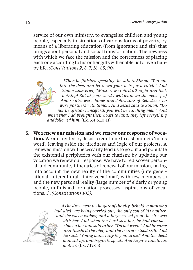service of our own ministry: to evangelise children and young people, especially in situations of various forms of poverty, by means of a liberating education (from ignorance and sin) that brings about personal and social transformation. The newness with which we face the mission and the correctness of placing each one according to his or her gifts will enable us to live a happy life. *(Constitutions 2, 3, 7, 18, 85, 90)*



*When he finished speaking, he said to Simon, "Put out into the deep and let down your nets for a catch." And Simon answered, "Master, we toiled all night and took nothing! But at your word I will let down the nets." […] And so also were James and John, sons of Zebedee, who were partners with Simon. And Jesus said to Simon, "Do not be afraid; henceforth you will be catching men." And when they had brought their boats to land, they left everything and followed him.* (Lk. 5:4-5.10-11)

**5. We renew our mission and we renew our response of vocation.** We are invited by Jesus to continue to cast our nets 'in his word', leaving aside the tiredness and logic of our projects. A renewed mission will necessarily lead us to go out and populate the existential peripheries with our charism; by updating our vocation we renew our response. We have to rediscover personal and community itineraries of renewal of our mission, taking into account the new reality of the communities (intergenerational, intercultural, 'inter-vocational', with few members…) and the new personal reality (large number of elderly or young people, unfinished formation processes, aspirations of vocations…). *(Constitutions 103).*



*As he drew near to the gate of the city, behold, a man who had died was being carried out, the only son of his mother, and she was a widow; and a large crowd from the city was with her. And when the Lord saw her, he had compassion on her and said to her, "Do not weep." And he came and touched the bier, and the bearers stood still. And he said, "Young man, I say to you, arise." And the dead man sat up, and began to speak. And he gave him to his mother.* (Lk. 7:12-15)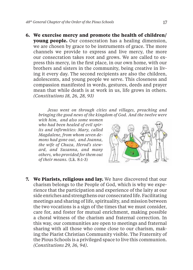**6. We exercise mercy and promote the health of children/ young people.** Our consecration has a healing dimension, we are chosen by grace to be instruments of grace. The more channels we provide to express and live mercy, the more our consecration takes root and grows. We are called to express this mercy, in the first place, in our own home, with our brothers and sisters in the community, being creative in living it every day. The second recipients are also the children, adolescents, and young people we serve. This closeness and compassion manifested in words, gestures, deeds and prayer mean that while death is at work in us, life grows in others. *(Constitutions 18, 26, 28, 93)* 

*Jesus went on through cities and villages, preaching and bringing the good news of the kingdom of God. And the twelve were* 

*with him, and also some women who had been healed of evil spirits and infirmities: Mary, called Magdalene, from whom seven demons had gone out, and Joanna, the wife of Chuza, Herod's steward, and Susanna, and many others, who provided for them out of their means.* (Lk. 8:1-3)



**7. We Piarists, religious and lay.** We have discovered that our charism belongs to the People of God, which is why we experience that the participation and experience of the laity at our side enriches and strengthens our consecrated life. Facilitating meetings and sharing of life, spirituality, and mission between the two vocations is a sign of the times that we must consider, care for, and foster for mutual enrichment, making possible a choral witness of the charism and fraternal correction. In this way, our communities are open to meetings and fraternal sharing with all those who come close to our charism, making the Piarist Christian Community visible. The Fraternity of the Pious Schools is a privileged space to live this communion. *(Constitutions 29, 36, 94).*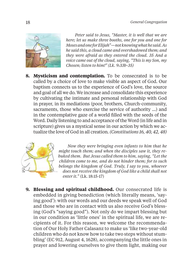

*Peter said to Jesus, "Master, it is well that we are here; let us make three booths, one for you and one for Moses and one for Elijah"—not knowing what he said. As he said this, a cloud came and overshadowed them; and they were afraid as they entered the cloud. 35 And a voice came out of the cloud, saying, "This is my Son, my Chosen; listen to him!" (Lk. 9:33b-35)*

**8. Mysticism and contemplation.** To be consecrated is to be called by a choice of love to make visible an aspect of God. Our baptism connects us to the experience of God's love, the source and goal of all we do. We increase and consolidate this experience by cultivating the intimate and personal relationship with God in prayer, in its mediations (poor, brothers, Church-community, sacraments, those who exercise the service of authority …) and in the contemplative gaze of a world filled with the seeds of the Word. Daily listening to and acceptance of the Word (in life and in scripture) gives us a mystical sense in our action by which we actualize the love of God in all creation*. (Constitutions 16, 40, 42, 48)*



*Now they were bringing even infants to him that he might touch them; and when the disciples saw it, they rebuked them. But Jesus called them to him, saying, "Let the children come to me, and do not hinder them; for to such belongs the kingdom of God. Truly, I say to you, whoever does not receive the kingdom of God like a child shall not enter it."* (Lk. 18:15-17)

**9. Blessing and spiritual childhood.** Our consecrated life is embedded in giving benediction (which literally means, 'saying good'): with our words and our deeds we speak well of God and those who are in contact with us also receive God's blessing (God's "saying good"). Not only do we impart blessing but in our condition as 'little ones' in the spiritual life, we are recipients of it. For this reason, we welcome the recommendation of Our Holy Father Calasanz to make us 'like two-year-old children who do not know how to take two steps without stumbling' (EC 912, August 4, 1628), accompanying the little ones in prayer and lowering ourselves to give them light, making our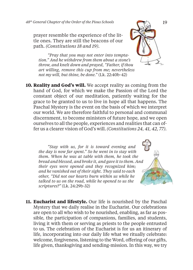prayer resemble the experience of the little ones. They are still the beacons of our path. *(Constitutions 18 and 19).* 

*"Pray that you may not enter into temptation." And he withdrew from them about a stone's throw, and knelt down and prayed, "Father, if thou art willing, remove this cup from me; nevertheless not my will, but thine, be done."* (Lk. 22:40b-42)

**10. Reality and God's will.** We accept reality as coming from the hand of God, for which we make the Passion of the Lord the constant object of our meditation, patiently waiting for the grace to be granted to us to live in hope all that happens. The Paschal Mystery is the event on the basis of which we interpret our world. We are therefore faithful to personal and communal discernment, to become ministers of future hope, and we open ourselves to all the people, experiences and realities that can offer us a clearer vision of God's will.*(Constitutions 24, 41, 42, 77).*

*"Stay with us, for it is toward evening and the day is now far spent." So he went in to stay with them. When he was at table with them, he took the bread and blessed, and broke it, and gave it to them. And their eyes were opened and they recognized him; and he vanished out of their sight. They said to each other, "Did not our hearts burn within us while he talked to us on the road, while he opened to us the scriptures?"* (Lk. 24:29b-32)



**11. Eucharist and lifestyle.** Our life is nourished by the Paschal Mystery that we daily realise in the Eucharist. Our celebrations are open to all who wish to be nourished, enabling, as far as possible, the participation of companions, families, and students, living it with them or serving as priests to the people entrusted to us. The celebration of the Eucharist is for us an itinerary of life, incorporating into our daily life what we ritually celebrate: welcome, forgiveness, listening to the Word, offering of our gifts, life given, thanksgiving and sending-mission. In this way, we try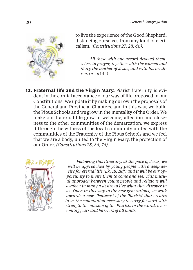

to live the experience of the Good Shepherd, distancing ourselves from any kind of clericalism. *(Constitutions 27, 28, 46).*

*All these with one accord devoted themselves to prayer, together with the women and Mary the mother of Jesus, and with his brethren.* (Acts 1:14)

**12. Fraternal life and the Virgin Mary.** Piarist fraternity is evident in the cordial acceptance of our way of life proposed in our Constitutions. We update it by making our own the proposals of the General and Provincial Chapters, and in this way, we build the Pious Schools and we grow in the mentality of the Order. We make our fraternal life grow in welcome, affection and closeness to the other communities of the demarcation; we express it through the witness of the local community united with the communities of the Fraternity of the Pious Schools and we feel that we are a body, united to the Virgin Mary, the protection of our Order. *(Constitutions 25, 36, 76).*



*Following this itinerary, at the pace of Jesus, we will be approached by young people with a deep desire for eternal life (Lk. 18, 18ff ) and it will be our opportunity to invite them to come and see. This mutual approach between young people and religious will awaken in many a desire to live what they discover in us. Open in this way to the new generations, we walk towards a new 'Pentecost of the Piarists' that creates in us the communion necessary to carry forward with strength the mission of the Piarists in the world, overcoming fears and barriers of all kinds.*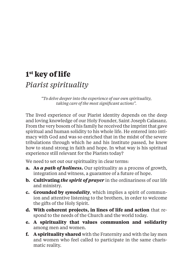## **1st key of life** *Piarist spirituality*

*"To delve deeper into the experience of our own spirituality, taking care of the most significant actions".* 

The lived experience of our Piarist identity depends on the deep and loving knowledge of our Holy Founder, Saint Joseph Calasanz. From the very bosom of his family he received the imprint that gave spiritual and human solidity to his whole life. He entered into intimacy with God and was so enriched that in the midst of the severe tribulations through which he and his Institute passed, he knew how to stand strong in faith and hope. In what way is his spiritual experience still relevant for the Piarists today?

We need to set out our spirituality in clear terms:

- **a. As** *a path of holiness***.** Our spirituality as a process of growth, integration and witness, a guarantee of a future of hope.
- **b. Cultivating** *the spirit of prayer* in the ordinariness of our life and ministry.
- **c. Grounded by** *synodality*, which implies a spirit of communion and attentive listening to the brothers, in order to welcome the gifts of the Holy Spirit.
- **d. With coherent projects, in lines of life and action** that respond to the needs of the Church and the world today.
- **e. A spirituality that values communion and solidarity** among men and women.
- **f. A spirituality shared** with the Fraternity and with the lay men and women who feel called to participate in the same charismatic reality.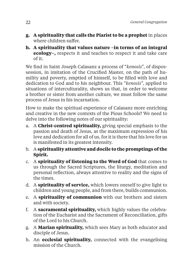- **g. A spirituality that calls the Piarist to be a prophet** in places where children suffer.
- **h. A spirituality that values nature –in terms of an integral ecology–,** respects it and teaches to respect it and take care of it.

We find in Saint Joseph Calasanz a process of "*kenosis*", of dispossession, in imitation of the Crucified Master, on the path of humility and poverty, emptied of himself, to be filled with love and dedication to God and to his neighbour. This "*kenosis*", applied to situations of interculturality, shows us that, in order to welcome a brother or sister from another culture, we must follow the same process of Jesus in his incarnation.

How to make the spiritual experience of Calasanz more enriching and creative in the new contexts of the Pious Schools? We need to delve into the following notes of our spirituality:

- a. A **Christ-centred spirituality,** giving special emphasis to the passion and death of Jesus, as the maximum expression of his love and dedication for all of us, for it is there that his love for us is manifested in its greatest intensity.
- b. A **spirituality attentive and docile to the promptings of the Spirit.**
- c. A **spirituality of listening to the Word of God** that comes to us through the Sacred Scriptures, the liturgy, meditation and personal reflection, always attentive to reality and the signs of the times.
- d. A **spirituality of service,** which lowers oneself to give light to children and young people, and from there, builds communion.
- e. A **spirituality of communion** with our brothers and sisters and with society.
- f. A **sacramental spirituality,** which highly values the celebration of the Eucharist and the Sacrament of Reconciliation, gifts of the Lord to his Church.
- g. A **Marian spirituality,** which sees Mary as both educator and disciple of Jesus.
- h. An **ecclesial spirituality,** connected with the evangelising mission of the Church.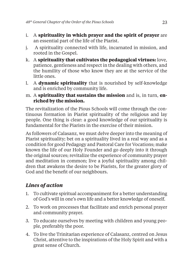- i. A **spirituality in which prayer and the spirit of prayer** are an essential part of the life of the Piarist.
- j. A spirituality connected with life, incarnated in mission, and rooted in the Gospel.
- k. A **spirituality that cultivates the pedagogical virtues:** love, patience, gentleness and respect in the dealing with others, and the humility of those who know they are at the service of the little ones.
- l. A **dynamic spirituality** that is nourished by self-knowledge and is enriched by community life.
- m. A **spirituality that sustains the mission** and is, in turn, **enriched by the mission.**

The revitalization of the Pious Schools will come through the continuous formation in Piarist spirituality of the religious and lay people. One thing is clear: a good knowledge of our spirituality is fundamental for the Piarists in the exercise of their mission.

As followers of Calasanz, we must delve deeper into the meaning of Piarist spirituality; bet on a spirituality lived in a real way and as a condition for good Pedagogy and Pastoral Care for Vocations; make known the life of our Holy Founder and go deeply into it through the original sources; revitalize the experience of community prayer and meditation in common; live a joyful spirituality among children that awakens the desire to be Piarists, for the greater glory of God and the benefit of our neighbours.

### *Lines of action*

- 1. To cultivate spiritual accompaniment for a better understanding of God's will in one's own life and a better knowledge of oneself.
- 2. To work on processes that facilitate and enrich personal prayer and community prayer.
- 3. To educate ourselves by meeting with children and young people, preferably the poor.
- 4. To live the Trinitarian experience of Calasanz, centred on Jesus Christ, attentive to the inspirations of the Holy Spirit and with a great sense of Church.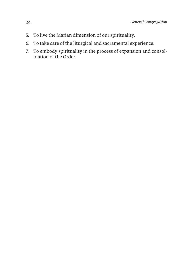- 5. To live the Marian dimension of our spirituality.
- 6. To take care of the liturgical and sacramental experience.
- 7. To embody spirituality in the process of expansion and consolidation of the Order.
-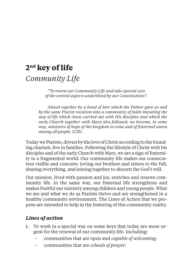## **2nd key of life** *Community Life*

*"To renew our Community Life and take special care of the central aspects underlined by our Constitutions".*

*Joined together by a bond of love which the Father gave us and by the same Piarist vocation into a community of faith imitating the way of life which Jesus carried out with His disciples and which the early Church together with Mary also followed, we become, in some way, ministers of hope of the kingdom to come and of fraternal union among all people.* (C25)

Today we Piarists, driven by the love of Christ according to the founding charism, live in families. Following the lifestyle of Christ with his disciples and of the early Church with Mary, we are a sign of fraternity in a fragmented world. Our community life makes our consecration visible and concrete: loving our brothers and sisters to the full, sharing everything, and joining together to discern the God's will.

Our mission, lived with passion and joy, enriches and renews community life. In the same way, our fraternal life strengthens and makes fruitful our ministry among children and young people. What we are and what we do as Piarists thrive and are strengthened in a healthy community environment. The Lines of Action that we propose are intended to help in the fostering of this community reality.

### *Lines of action*

- 1. To work in a special way on some keys that today are more urgent for the renewal of our community life. Including:
	- communities that are open and *capable of welcoming;*
	- communities that are *schools of prayer;*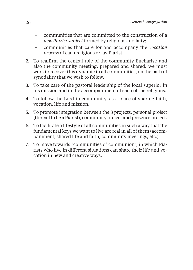- communities that are committed to the construction of a *new Piarist subject* formed by religious and laity;
- communities that care for and accompany the *vocation process* of each religious or lay Piarist.
- 2. To reaffirm the central role of the community Eucharist; and also the community meeting, prepared and shared. We must work to recover this dynamic in all communities, on the path of synodality that we wish to follow.
- 3. To take care of the pastoral leadership of the local superior in his mission and in the accompaniment of each of the religious.
- 4. To follow the Lord in community, as a place of sharing faith, vocation, life and mission.
- 5. To promote integration between the 3 projects: personal project (the call to be a Piarist), community project and presence project.
- 6. To facilitate a lifestyle of all communities in such a way that the fundamental keys we want to live are real in all of them (accompaniment, shared life and faith, community meetings, etc.)
- 7. To move towards "communities of communion", in which Piarists who live in different situations can share their life and vocation in new and creative ways.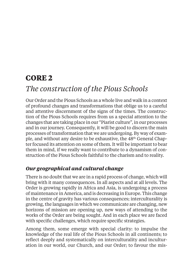## **CORE 2**

## *The construction of the Pious Schools*

Our Order and the Pious Schools as a whole live and walk in a context of profound changes and transformations that oblige us to a careful and attentive discernment of the signs of the times. The construction of the Pious Schools requires from us a special attention to the changes that are taking place in our "Piarist culture", in our processes and in our journey. Consequently, it will be good to discern the main processes of transformation that we are undergoing. By way of example, and without any desire to be exhaustive, the 48th General Chapter focused its attention on some of them. It will be important to bear them in mind, if we really want to contribute to a dynamism of construction of the Pious Schools faithful to the charism and to reality.

### *Our geographical and cultural change*

There is no doubt that we are in a rapid process of change, which will bring with it many consequences. In all aspects and at all levels. The Order is growing rapidly in Africa and Asia, is undergoing a process of maintenance in America, and is decreasing in Europe. This change in the centre of gravity has various consequences; interculturality is growing, the languages in which we communicate are changing, new horizons of mission are opening up, new ways of attending to the works of the Order are being sought. And in each place we are faced with specific challenges, which require specific strategies.

Among them, some emerge with special clarity: to impulse the knowledge of the real life of the Pious Schools in all continents; to reflect deeply and systematically on interculturality and inculturation in our world, our Church, and our Order; to favour the mis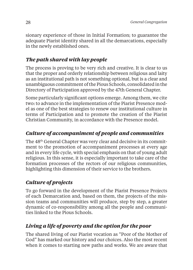sionary experience of those in Initial Formation; to guarantee the adequate Piarist identity shared in all the demarcations, especially in the newly established ones.

## *The path shared with lay people*

The process is proving to be very rich and creative. It is clear to us that the proper and orderly relationship between religious and laity as an institutional path is not something optional, but is a clear and unambiguous commitment of the Pious Schools, consolidated in the Directory of Participation approved by the 47th General Chapter.

Some particularly significant options emerge. Among them, we cite two: to advance in the implementation of the Piarist Presence model as one of the best strategies to renew our institutional culture in terms of Participation and to promote the creation of the Piarist Christian Community, in accordance with the Presence model.

## *Culture of accompaniment of people and communities*

The 48th General Chapter was very clear and decisive in its commitment to the promotion of accompaniment processes at every age and in every life cycle, with special emphasis on that of young adult religious. In this sense, it is especially important to take care of the formation processes of the rectors of our religious communities, highlighting this dimension of their service to the brothers.

## *Culture of projects*

To go forward in the development of the Piarist Presence Projects of each Demarcation and, based on them, the projects of the mission teams and communities will produce, step by step, a greater dynamic of co-responsibility among all the people and communities linked to the Pious Schools.

## *Living a life of poverty and the option for the poor*

The shared living of our Piarist vocation as "Poor of the Mother of God" has marked our history and our choices. Also the most recent when it comes to starting new paths and works. We are aware that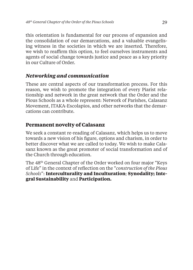this orientation is fundamental for our process of expansion and the consolidation of our demarcations, and a valuable evangelising witness in the societies in which we are inserted. Therefore, we wish to reaffirm this option, to feel ourselves instruments and agents of social change towards justice and peace as a key priority in our Culture of Order.

#### *Networking and communication*

These are central aspects of our transformation process. For this reason, we wish to promote the integration of every Piarist relationship and network in the great network that the Order and the Pious Schools as a whole represent: Network of Parishes, Calasanz Movement, ITAKA-Escolapios, and other networks that the demarcations can contribute.

#### **Permanent novelty of Calasanz**

We seek a constant re-reading of Calasanz, which helps us to move towards a new vision of his figure, options and charism, in order to better discover what we are called to today. We wish to make Calasanz known as the great promoter of social transformation and of the Church through education.

The 48th General Chapter of the Order worked on four major "Keys of Life" in the context of refl ection on the "*construction of the Pious Schools*": **Interculturality and Inculturation**; **Synodality; Integral Sustainability** and **Participation.**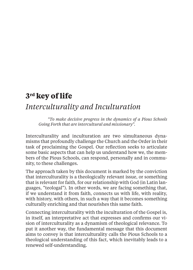## **3rd key of life**

## *Interculturality and Inculturation*

*"To make decisive progress in the dynamics of a Pious Schools Going Forth that are intercultural and missionary".*

Interculturality and inculturation are two simultaneous dynamisms that profoundly challenge the Church and the Order in their task of proclaiming the Gospel. Our reflection seeks to articulate some basic aspects that can help us understand how we, the members of the Pious Schools, can respond, personally and in community, to these challenges.

The approach taken by this document is marked by the conviction that interculturality is a theologically relevant issue, or something that is relevant for faith, for our relationship with God (in Latin languages, "teologal"). In other words, we are facing something that, if we understand it from faith, connects us with life, with reality, with history, with others, in such a way that it becomes something culturally enriching and that nourishes this same faith.

Connecting interculturality with the inculturation of the Gospel is, in itself, an interpretative act that expresses and confirms our vision of interculturality as a dynamism of theological relevance. To put it another way, the fundamental message that this document aims to convey is that interculturality calls the Pious Schools to a theological understanding of this fact, which inevitably leads to a renewed self-understanding.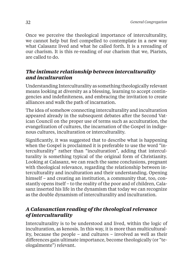Once we perceive the theological importance of interculturality, we cannot help but feel compelled to contemplate in a new way what Calasanz lived and what he called forth. It is a rereading of our charism. It is this re-reading of our charism that we, Piarists, are called to do.

#### *The intimate relationship between interculturality and inculturation*

Understanding Interculturality as something theologically relevant means looking at diversity as a blessing, learning to accept contingencies and indefiniteness, and embracing the invitation to create alliances and walk the path of incarnation.

The idea of somehow connecting interculturality and inculturation appeared already in the subsequent debates after the Second Vatican Council on the proper use of terms such as acculturation, the evangelization of cultures, the incarnation of the Gospel in indigenous cultures, inculturation or interculturality.

Significantly, it was suggested that to describe what is happening when the Gospel is proclaimed it is preferable to use the word "interculturality" rather than "inculturation", adding that interculturality is something typical of the original form of Christianity. Looking at Calasanz, we can reach the same conclusions, pregnant with theological relevance, regarding the relationship between interculturality and inculturation and their understanding. Opening himself – and creating an institution, a community that, too, constantly opens itself – to the reality of the poor and of children, Calasanz inserted his life in the dynamism that today we can recognize as the double dynamism of interculturality and inculturation.

#### *A Calasanctian reading of the theological relevance of interculturality*

Interculturality is to be understood and lived, within the logic of inculturation, as kenosis. In this way, it is more than multiculturality, because the people – and cultures – involved as well as their differences gain ultimate importance, become theologically (or "teologalmente") relevant.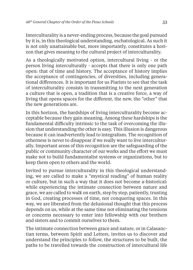Interculturality is a never-ending process, because the goal pursued by it is, in this theological understanding, eschatological. As such it is not only unattainable but, more importantly, constitutes a horizon that gives meaning to the cultural project of interculturality.

As a theologically motivated option, intercultural living - or the person living interculturally - accepts that there is only one path open: that of time and history. The acceptance of history implies the acceptance of contingencies, of diversities, including generational differences. It is important for us Piarists to see that the task of interculturality consists in transmitting to the next generation a culture that is open, a tradition that is a creative force, a way of living that opens spaces for the different, the new, the "other" that the new generations are.

In this horizon, the hardships of living interculturality become acceptable because they gain meaning. Among these hardships is the fundamental difficulty intrinsic to the task of overcoming the illusion that understanding the other is easy. This illusion is dangerous because it can inadvertently lead to integralism. The recognition of otherness is never to disappear if we really want to live interculturally. Important areas of this recognition are the safeguarding of the public or community character of our works and the effort we must make not to build fundamentalist systems or organizations, but to keep them open to others and the world.

Invited to pursue interculturality in this theological understanding, we are called to make a "mystical reading" of human reality or culture, but in such a way that it does not become a-historical: while experiencing the intimate connection between nature and grace, we are called to walk on earth, step by step, patiently, trusting in God, creating processes of time, not conquering spaces. In this way, we are liberated from the delusional thought that this process depends on us, while at the same time not eliminating the tensions or concerns necessary to enter into fellowship with our brothers and sisters and to commit ourselves to them.

The intimate connection between grace and nature, or in Calasanctian terms, between Spirit and Letters, invites us to discover and understand the principles to follow, the structures to be built, the paths to be travelled towards the construction of intercultural life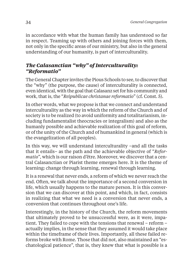in accordance with what the human family has understood so far in respect. Teaming up with others and joining forces with them, not only in the specific areas of our ministry, but also in the general understanding of our humanity, is part of interculturality.

#### *The Calasanctian "why" of Interculturality: "Reformatio"*

The General Chapter invites the Pious Schools to see, to discover that the "why" (the purpose, the cause) of interculturality is connected, even identical, with the goal that Calasanz set for his community and work, that is, the "*Reipublicae christanae reformatio*" (cf. Const. 5).

In other words, what we propose is that we connect and understand interculturality as the way in which the reform of the Church and of society is to be realized (to avoid uniformity and totalitarianism, including fundamentalist theocracies or integralism) and also as the humanly possible and achievable realization of this goal of reform, or of the unity of the Church and of humankind in general (which is the evangelization of all peoples).

In this way, we will understand interculturality –and all the tasks that it entails– as the path and the achievable objective of "*Reformatio*", which is our raison d'être. Moreover, we discover that a central Calasanctian or Piarist theme emerges here. It is the theme of learning: change through learning, renewal through learning.

It is a renewal that never ends, a reform of which we never reach the end. Often, we talk about the importance of a second conversion in life, which usually happens to the mature person. It is this conversion that we can discover at this point, and which, in fact, consists in realizing that what we need is a conversion that never ends, a conversion that continues throughout one's life.

Interestingly, in the history of the Church, the reform movements that ultimately proved to be unsuccessful were, as it were, impatient. They failed to cope with the tensions that renewal – reform – actually implies, in the sense that they assumed it would take place within the timeframe of their lives. Importantly, all these failed reforms broke with Rome. Those that did not, also maintained an "eschatological patience", that is, they knew that what is possible is a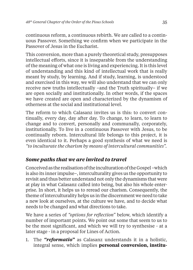continuous reform, a continuous rebirth. We are called to a continuous Passover. Something we confirm when we participate in the Passover of Jesus in the Eucharist.

This conversion, more than a purely theoretical study, presupposes intellectual efforts, since it is inseparable from the understanding of the meaning of what one is living and experiencing. It is this level of understanding and this kind of intellectual work that is really meant by study, by learning. And if study, learning, is understood and exercised in this way, we will also understand that we can only receive new truths intellectually –and the Truth spiritually– if we are open socially and institutionally. In other words, if the spaces we have created are open and characterized by the dynamism of otherness at the social and institutional level.

The reform to which Calasanz invites us is this: to convert continually, every day, day after day. To change, to learn, to learn to change and to convert, personally and communally, corporately, institutionally. To live in a continuous Passover with Jesus, to be continually reborn. Intercultural life belongs to this project, it is even identical to it. Perhaps a good synthesis of what we need is *"to inculturate the charism by means of intercultural communities".*

#### *Some paths that we are invited to travel*

Conceived as the realisation of the inculturation of the Gospel –which is also its inner impulse–, interculturality gives us the opportunity to revisit and thus better understand not only the dynamisms that were at play in what Calasanz called into being, but also his whole enterprise. In short, it helps us to reread our charism. Consequently, the theme of interculturality helps us in the discernment we need to take a new look at ourselves, at the culture we have, and to decide what needs to be changed and what directions to take.

We have a series of "options for reflection" below, which identify a number of important points. We point out some that seem to us to be the most significant, and which we will try to synthesise - at a later stage - in a proposal for Lines of Action.

1. The *"reformatio"* as Calasanz understands it in a holistic, integral sense, which implies **personal conversion, institu-**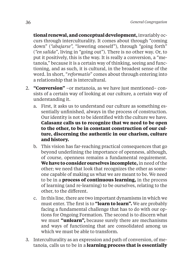**tional renewal, and conceptual development,** invariably occurs through interculturality. It comes about through "coming down" (*"abajarse",* "lowering oneself"), through "going forth" (*"en salida"*, living in "going out"). There is no other way. Or, to put it positively, this is the way. It is really a conversion, a "metanoia," because it is a certain way of thinking, seeing and functioning, and as such, it is cultural, in the broadest sense of the word. In short, "*reformatio*" comes about through entering into a relationship that is intercultural.

- 2. **"Conversion"** –or metanoia, as we have just mentioned– consists of a certain way of looking at our culture, a certain way of understanding it.
	- a. First, it asks us to understand our culture as something essentially unfinished, always in the process of construction. Our identity is not to be identified with the culture we have. **Calasanz calls us to recognize that we need to be open to the other, to be in constant construction of our culture, discerning the authentic in our charism, culture and history.**
	- b. This vision has far-reaching practical consequences that go beyond underlining the importance of openness, although, of course, openness remains a fundamental requirement. **We have to consider ourselves incomplete,** in need of the other; we need that look that recognizes the other as someone capable of making us what we are meant to be. We need to be in a **process of continuous learning,** in the process of learning (and re-learning) to be ourselves, relating to the other, to the different.
	- c. In this line, there are two important dynamisms in which we must enter. The first is to **"learn to learn".** We are probably facing a fundamental challenge that has to do with our options for Ongoing Formation. The second is to discern what we must **"unlearn",** because surely there are mechanisms and ways of functioning that are consolidated among us which we must be able to transform.
- 3. Interculturality as an expression and path of conversion, of metanoia, calls us to be in a **learning process that is essentially**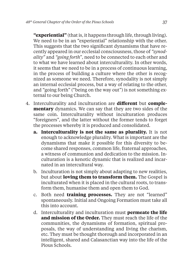**"experiential"** (that is, it happens through life, through living). We need to be in an "experiential" relationship with the other. This suggests that the two significant dynamisms that have recently appeared in our ecclesial consciousness, those of *"synodality"* and *"going forth"*, need to be connected to each other and to what we have learned about interculturality. In other words, it seems that we need to be in a process of continuous learning, in the process of building a culture where the other is recognized as someone we need. Therefore, synodality is not simply an internal ecclesial process, but a way of relating to the other, and "going forth" ("being on the way out") is not something external to our being Church.

- 4. Interculturality and inculturation are **different** but **complementary** dynamics. We can say that they are two sides of the same coin. Interculturality without inculturation produces "foreigners", and the latter without the former tends to forget the processes whereby it is produced and consolidated.
	- **a. Interculturality is not the same as plurality.** It is not enough to acknowledge plurality. What is important are the dynamisms that make it possible for this diversity to become shared responses, common life, fraternal approaches, a witness of communion and dedication to the mission. Inculturation is a kenotic dynamic that is realized and incarnated in an intercultural way.
	- b. Inculturation is not simply about adapting to new realities, but about **loving them to transform them.** The Gospel is inculturated when it is placed in the cultural roots, to transform them, humanise them and open them to God.
	- c. Both need **training processes.** They are not "learned" spontaneously. Initial and Ongoing Formation must take all this into account.
	- d. Interculturality and inculturation must **permeate the life and mission of the Order.** They must reach the life of the communities, the dynamisms of formation, spiritual proposals, the way of understanding and living the charism, etc. They must be thought thorough and incorporated in an intelligent, shared and Calasanctian way into the life of the Pious Schools.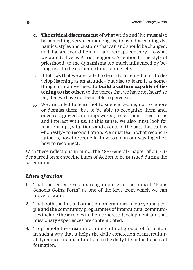- **e. The critical discernment** of what we do and live must also be something very clear among us, to avoid accepting dynamics, styles and customs that can and should be changed, and that are even different – and perhaps contrary – to what we want to live as Piarist religious. Attention to the style of priesthood, to the dynamisms too much influenced by belongings, to the economic functioning, etc.
- f. It follows that we are called to learn to listen –that is, to develop listening as an attitude– but also to learn it as something cultural: we need to **build a culture capable of listening to the other,** to the voices that we have not heard so far, that we have not been able to perceive.
- g. We are called to learn not to silence people, not to ignore or dismiss them, but to be able to recognize them and, once recognized and empowered, to let them speak to us and interact with us. In this sense, we also must look for relationships, situations and events of the past that call us –honestly– to reconciliation. We must learn what reconciliation is, how to reconcile, how to go on our way together, how to reconnect.

With these reflections in mind, the 48<sup>th</sup> General Chapter of our Order agreed on six specific Lines of Action to be pursued during the sexennium.

- 1. That the Order gives a strong impulse to the project "Pious Schools Going Forth" as one of the keys from which we can move forward.
- 2. That both the Initial Formation programmes of our young people and the community programmes of intercultural communities include these topics in their concrete development and that missionary experiences are contemplated.
- 3. To promote the creation of intercultural groups of formators in such a way that it helps the daily concretion of intercultural dynamics and inculturation in the daily life in the houses of formation.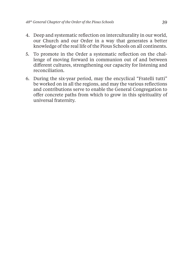- 4. Deep and systematic reflection on interculturality in our world, our Church and our Order in a way that generates a better knowledge of the real life of the Pious Schools on all continents.
- 5. To promote in the Order a systematic reflection on the challenge of moving forward in communion out of and between different cultures, strengthening our capacity for listening and reconciliation.
- 6. During the six-year period, may the encyclical "Fratelli tutti" be worked on in all the regions, and may the various reflections and contributions serve to enable the General Congregation to offer concrete paths from which to grow in this spirituality of universal fraternity.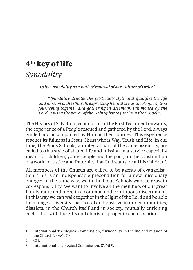# **4th key of life** *Synodality*

*"To live synodality as a path of renewal of our Culture of Order".*

"Synodality denotes the particular style that qualifies the life *and mission of the Church, expressing her nature as the People of God journeying together and gathering in assembly, summoned by the Lord Jesus in the power of the Holy Spirit to proclaim the Gospel"1 .*

The History of Salvation recounts, from the First Testament onwards, the experience of a People rescued and gathered by the Lord, always guided and accompanied by Him on their journey. This experience reaches its fullness in Jesus Christ who is Way, Truth and Life. In our time, the Pious Schools, an integral part of the same assembly, are called to this style of shared life and mission in a service especially meant for children, young people and the poor, for the construction of a world of justice and fraternity that God wants for all his children<sup>2</sup>.

All members of the Church are called to be agents of evangelisation. This is an indispensable precondition for a new missionary energy3 . In the same way, we in the Pious Schools want to grow in co-responsibility. We want to involve all the members of our great family more and more in a common and continuous discernment. In this way we can walk together in the light of the Lord and be able to manage a diversity that is real and positive in our communities, districts, in the Church itself and in society, mutually enriching each other with the gifts and charisms proper to each vocation.

<sup>1</sup> International Theological Commission, "Synodality in the life and mission of the Church", SVMI 70.

<sup>2</sup> C11.

<sup>3</sup> International Theological Commission, SVMI 9.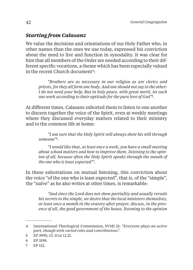### *Starting from Calasanz*

We value the decisions and orientations of our Holy Father who, in other names than the ones we use today, expressed his conviction about the need to live and function in synodality. It was clear for him that all members of the Order are needed according to their different specific vocations, a theme which has been especially valued in the recent Church document<sup>4</sup>:

*"Brothers are as necessary in our religion as are clerics and priests, for they all form one body. And one should not say to the other: I do not need your help. But in holy peace, with great merit, let each one work according to their aptitude for the pure love of God"5 .*

At different times, Calasanz exhorted them to listen to one another to discern together the voice of the Spirit, even at weekly meetings where they discussed everyday matters related to their ministry and to the common life at home:

*"I am sure that the Holy Spirit will always show his will through someone"6 .*

*"I would like that, at least once a week, you have a small meeting about school matters and how to improve them, listening to the opinion of all, because often the Holy Spirit speaks through the mouth of the one who is least expected"7 .*

In these exhortations on mutual listening, this conviction about the voice "of the one who is least expected", that is, of the "simple", the "naïve" as he also writes at other times, is remarkable:

*"And since the Lord does not show partiality and usually reveals his secrets to the simple, we desire that the local ministers themselves, at least once a month in the oratory after prayer, discuss, in the presence of all, the good government of the house, listening to the opinion* 

<sup>4</sup> International Theological Commission, SVMI 21: *"Everyone plays an active part, though with varied roles and contributions".*

<sup>5</sup> EP 3990, Cf. 1Cor 12,21.

<sup>6</sup> EP 3198.

<sup>7</sup> EP 132.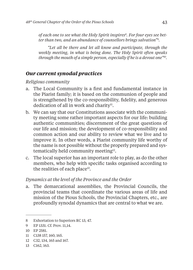*of each one to see what the Holy Spirit inspires8 . For four eyes see better than two, and an abundance of counsellors brings salvation"9 .*

*"Let all be there and let all know and participate, through the weekly meeting, in what is being done. The Holy Spirit often speaks through the mouth of a simple person, especially if he is a devout one"10.*

#### *Our current synodal practices*

*Religious community*

- a. The Local Community is a first and fundamental instance in the Piarist family; it is based on the communion of people and is strengthened by the co-responsibility, fidelity, and generous dedication of all in work and charity<sup>11</sup>.
- b. We can say that our Constitutions associate with the community meeting some rather important aspects for our life: building authentic communities; discernment of the great questions of our life and mission; the development of co-responsibility and common action and our ability to review what we live and to improve it. In other words, a Piarist community life worthy of the name is not possible without the properly prepared and systematically held community meeting12.
- c. The local superior has an important role to play, as do the other members, who help with specific tasks organised according to the realities of each place<sup>13</sup>.

#### *Dynamics at the level of the Province and the Order*

a. The demarcational assemblies, the Provincial Councils, the provincial teams that coordinate the various areas of life and mission of the Pious Schools, the Provincial Chapters, etc., are profoundly synodal dynamics that are central to what we are.

<sup>8</sup> Exhortation to Superiors RC 13, 47.

<sup>9</sup> EP 1331. Cf. Prov. 11,14.

<sup>10</sup> EP 2581.

<sup>11</sup> C138 157, 160, 165.

<sup>12</sup> C32, 134, 165 and 167.

<sup>13</sup> C162, 163.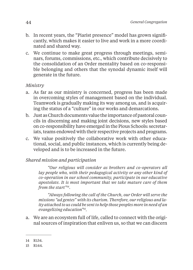- b. In recent years, the "Piarist presence" model has grown significantly, which makes it easier to live and work in a more coordinated and shared way.
- c. We continue to make great progress through meetings, seminars, forums, commissions, etc., which contribute decisively to the consolidation of an Order mentality based on co-responsible belonging and others that the synodal dynamic itself will generate in the future.

#### *Ministry*

- a. As far as our ministry is concerned, progress has been made in overcoming styles of management based on the individual. Teamwork is gradually making its way among us, and is acquiring the status of a "culture" in our works and demarcations.
- b. Just as Church documents value the importance of pastoral councils in discerning and making joint decisions, new styles based on co-responsibility have emerged in the Pious Schools: secretariats, teams endowed with their respective projects and programs.
- c. We value positively the collaborative work with other educational, social, and public instances, which is currently being developed and is to be increased in the future.

#### *Shared mission and participation*

*"Our religious will consider as brothers and co-operators all lay people who, with their pedagogical activity or any other kind of co-operation in our school community, participate in our educative apostolate. It is most important that we take mature care of them from the start"14.*

*"Always following the call of the Church, our Order will serve the missions "ad gentes" with its charism. Therefore, our religious and laity attached to us could be sent to help those peoples more in need of an evangelizing education"15.*

a. We are an ecosystem full of life, called to connect with the original sources of inspiration that enliven us, so that we can discern

<sup>14</sup> R134.

<sup>15</sup> R144.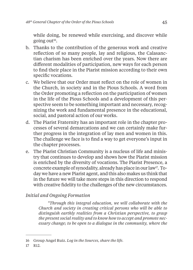while doing, be renewed while exercising, and discover while going out<sup>16</sup>.

- b. Thanks to the contribution of the generous work and creative reflection of so many people, lay and religious, the Calasanctian charism has been enriched over the years. Now there are different modalities of participation, new ways for each person to find their place in the Piarist mission according to their own specific vocations.
- c. We believe that our Order must reflect on the role of women in the Church, in society and in the Pious Schools. A word from the Order promoting a reflection on the participation of women in the life of the Pious Schools and a development of this perspective seem to be something important and necessary, recognizing the work and fundamental presence in the educational, social, and pastoral action of our works.
- d. The Piarist Fraternity has an important role in the chapter processes of several demarcations and we can certainly make further progress in the integration of lay men and women in this. The challenge we face is to find a way to get everyone's input in the chapter processes.
- e. The Piarist Christian Community is a nucleus of life and ministry that continues to develop and shows how the Piarist mission is enriched by the diversity of vocations. The Piarist Presence, a concrete example of synodality, already has place in our law<sup>17</sup>. Today we have a new Piarist agent, and this also makes us think that in the future we will take more steps in this direction to respond with creative fidelity to the challenges of the new circumstances.

#### *Initial and Ongoing Formation*

*"Through this integral education, we will collaborate with the Church and society in creating critical persons who will be able to distinguish earthly realities from a Christian perspective, to grasp the present social reality and to know how to accept and promote necessary change; to be open to a dialogue in the community, where the* 

<sup>16</sup> Group Angel Ruiz. *Log in the Sources, share the life.*

<sup>17</sup> R12.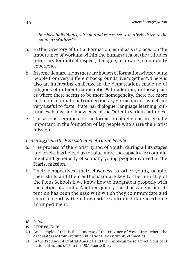*involved individuals, with mutual reverence, attentively listen to the opinions of others"18.*

- a. In the Directory of Initial Formation, emphasis is placed on the importance of working within the human area on the attitudes necessary for mutual respect, dialogue, teamwork, community experience<sup>19</sup>.
- b. In some demarcations there are houses of formation where young people from very different backgrounds live together<sup>20</sup>. There is also an interesting challenge in the demarcations made up of religious of different nationalities<sup>21</sup>. In addition, in those places where there seems to be more homogeneity, there are more and more international connections by virtual means, which are very useful to foster fraternal dialogue, language learning, cultural exchange and knowledge of the Order in various latitudes.
- c. These considerations for the formation of religious are equally important in the formation of lay people who share the Piarist mission.

#### *Learning from the Piarist Synod of Young People*

- a. The process of the Piarist Synod of Youth, during all its stages and levels, has helped us to value more the capacity for commitment and generosity of so many young people involved in the Piarist mission.
- b. Their perspectives, their closeness to other young people, their skills and their enthusiasm are key to the ministry of the Pious Schools if we know how to integrate it properly with the action of adults. Another quality that has caught our attention has been the ease with which they communicate and share in depth without linguistic or cultural differences being an impediment.

<sup>18</sup> R106.

<sup>19</sup> FEDE 68, 72, 76.

<sup>20</sup> An example of this is the Juniorate of the Province of West Africa where the candidates are from six different nationalities y twenty ethnicities.

<sup>21</sup> In the Province of Central America and the Caribbean there are religious of 11 nationalities and of 13 in the USA Puerto Rico.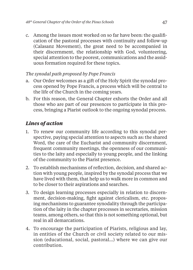c. Among the issues most worked on so far have been: the qualification of the pastoral processes with continuity and follow-up (Calasanz Movement), the great need to be accompanied in their discernment, the relationship with God, volunteering, special attention to the poorest, communications and the assiduous formation required for these topics.

#### *The synodal path proposed by Pope Francis*

- a. Our Order welcomes as a gift of the Holy Spirit the synodal process opened by Pope Francis, a process which will be central to the life of the Church in the coming years.
- b. For this reason, the General Chapter exhorts the Order and all those who are part of our presences to participate in this process, bringing a Piarist outlook to the ongoing synodal process.

- 1. To renew our community life according to this synodal perspective, paying special attention to aspects such as: the shared Word, the care of the Eucharist and community discernment, frequent community meetings, the openness of our communities to the laity and especially to young people, and the linking of the community to the Piarist presence.
- 2. To establish mechanisms of reflection, decision, and shared action with young people, inspired by the synodal process that we have lived with them, that help us to walk more in common and to be closer to their aspirations and searches.
- 3. To design learning processes especially in relation to discernment, decision-making, fight against clericalism, etc. proposing mechanisms to guarantee synodality through the participation of the laity in the chapter processes in secretaries, mission teams, among others, so that this is not something optional, but real in all demarcations.
- 4. To encourage the participation of Piarists, religious and lay, in entities of the Church or civil society related to our mission (educational, social, pastoral…) where we can give our contribution.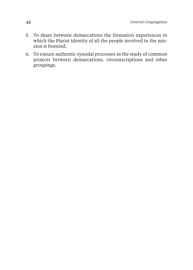- 5. To share between demarcations the formation experiences in which the Piarist identity of all the people involved in the mission is fostered.
- 6. To ensure authentic synodal processes in the study of common projects between demarcations, circumscriptions and other groupings.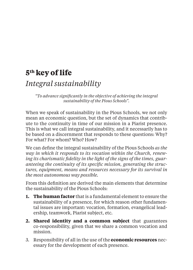# **5th key of life**

## *Integral sustainability*

*"To advance signifi cantly in the objective of achieving the integral sustainability of the Pious Schools".*

When we speak of sustainability in the Pious Schools, we not only mean an economic question, but the set of dynamics that contribute to the continuity in time of our mission in a Piarist presence. This is what we call integral sustainability, and it necessarily has to be based on a discernment that responds to these questions: Why? For what? For whom? Who? How?

We can define the integral sustainability of the Pious Schools *as the way in which it responds to its vocation within the Church, renew*ing its charismatic fidelity in the light of the signs of the times, guaranteeing the continuity of its specific mission, generating the struc*tures, equipment, means and resources necessary for its survival in the most autonomous way possible.*

From this definition are derived the main elements that determine the sustainability of the Pious Schools:

- **1. The human factor** that is a fundamental element to ensure the sustainability of a presence, for which reason other fundamental issues are important: vocation, formation, evangelical leadership, teamwork, Piarist subject, etc.
- **2. Shared identity and a common subject** that guarantees co-responsibility, given that we share a common vocation and  $micro<sub>n</sub>$
- 3. Responsibility of all in the use of the **economic resources** necessary for the development of each presence.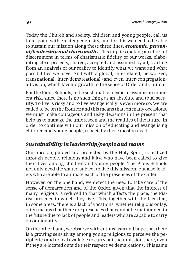Today the Church and society, children and young people, call us to respond with greater generosity, and for this we need to be able to sustain our mission along these three lines: *economic, personal/leadership and charismatic*. This implies making an effort of discernment in terms of charismatic fidelity of our works, elaborating clear projects, shared, accepted and assumed by all, starting from an analysis of our reality to identify what we want and what possibilities we have. And with a global, interrelated, networked, transnational, inter-demarcational (and even inter-congregational) vision, which favours growth in the sense of Order and Church.

For the Pious Schools, to be sustainable means to assume an inherent risk, since there is no such thing as an absolute and total security. To live is risky and to live evangelically is even more so. We are called to be on the frontier and this means that, on many occasions, we must make courageous and risky decisions in the present that help us to manage the unforeseen and the realities of the future, in order to continue with our mission of educating and evangelising children and young people, especially those most in need.

#### *Sustainability in leadership/people and teams*

Our mission, guided and protected by the Holy Spirit, is realized through people, religious and laity, who have been called to give their lives among children and young people. The Pious Schools not only need the shared subject to live this mission, but also leaders who are able to animate each of the presences of the Order.

However, on the one hand, we detect the need to take care of the sense of demarcation and of the Order, given that the interest of many religious is reduced to that which affects the place, the Piarist presence in which they live. This, together with the fact that, in some areas, there is a lack of vocations, whether religious or lay, often means that there are presences that cannot be maintained in the future due to lack of people and leaders who are capable to carry on our identity.

On the other hand, we observe with enthusiasm and hope that there is a growing sensitivity among young religious to perceive the peripheries and to feel available to carry out their mission there, even if they are located outside their respective demarcations. This same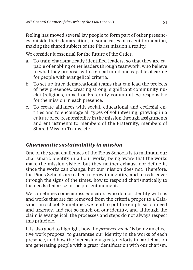feeling has moved several lay people to form part of other presences outside their demarcation, in some cases of recent foundation, making the shared subject of the Piarist mission a reality.

We consider it essential for the future of the Order:

- a. To train charismatically identified leaders, so that they are capable of enabling other leaders through teamwork, who believe in what they propose, with a global mind and capable of caring for people with evangelical criteria.
- b. To set up inter-demarcational teams that can lead the projects of new presences, creating strong, significant community nuclei (religious, mixed or Fraternity communities) responsible for the mission in each presence.
- c. To create alliances with social, educational and ecclesial entities and to encourage all types of volunteering, growing in a culture of co-responsibility in the mission through assignments and entrustments to members of the Fraternity, members of Shared Mission Teams, etc.

#### *Charismatic sustainability in mission*

One of the great challenges of the Pious Schools is to maintain our charismatic identity in all our works, being aware that the works make the mission visible, but they neither exhaust nor define it, since the works can change, but our mission does not. Therefore, the Pious Schools are called to grow in identity, and to rediscover through the signs of the times, how to respond charismatically to the needs that arise in the present moment.

We sometimes come across educators who do not identify with us and works that are far removed from the criteria proper to a Calasanctian school. Sometimes we tend to put the emphasis on need and urgency, and not so much on our identity, and although the claim is evangelical, the processes and steps do not always respect this principle.

It is also good to highlight how the *presence model* is being an effective work proposal to guarantee our identity in the works of each presence, and how the increasingly greater efforts in participation are generating people with a great identification with our charism,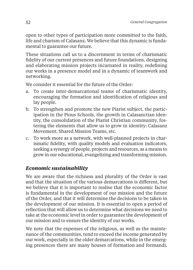open to other types of participation more committed to the faith, life and charism of Calasanz. We believe that this dynamic is fundamental to guarantee our future.

These situations call us to a discernment in terms of charismatic fidelity of our current presences and future foundations, designing and elaborating mission projects incarnated in reality, redefining our works in a presence model and in a dynamic of teamwork and networking.

We consider it essential for the future of the Order.

- a. To create inter-demarcational teams of charismatic identity, encouraging the formation and identification of religious and lay people.
- b. To strengthen and promote the new Piarist subject, the participation in the Pious Schools, the growth in Calasanctian identity, the consolidation of the Piarist Christian community, fostering the elements that allow us to grow in identity: Calasanz Movement, Shared Mission Teams, etc.
- c. To work more as a network, with well-planned projects in charismatic fidelity, with quality models and evaluation indicators, seeking a synergy of people, projects and resources, as a means to grow in our educational, evangelizing and transforming mission.

#### *Economic sustainability*

We are aware that the richness and plurality of the Order is vast and that the situation of the various demarcations is different, but we believe that it is important to realise that the economic factor is fundamental in the development of our mission and the future of the Order, and that it will determine the decisions to be taken in the development of our mission. It is essential to open a period of reflection that will allow us to determine what decisions we need to take at the economic level in order to guarantee the development of our mission and to ensure the identity of our works.

We note that the expenses of the religious, as well as the maintenance of the communities, tend to exceed the income generated by our work, especially in the older demarcations, while in the emerging presences there are many houses of formation and formandi,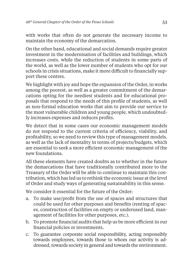with works that often do not generate the necessary income to maintain the economy of the demarcation.

On the other hand, educational and social demands require greater investment in the modernisation of facilities and buildings, which increases costs, while the reduction of students in some parts of the world, as well as the lower number of students who opt for our schools in crisis situations, make it more difficult to financially support these centres.

We highlight with joy and hope the expansion of the Order, in works among the poorest, as well as a greater commitment of the demarcations opting for the neediest students and for educational proposals that respond to the needs of this profile of students. as well as non-formal education works that aim to provide our service to the most vulnerable children and young people, which undoubtedly increases expenses and reduces profits.

We detect that in some cases our economic management models do not respond to the current criteria of efficiency, viability, and profitability, so we need to review this type of management models, as well as the lack of mentality in terms of projects/budgets, which are essential to seek a more efficient economic management of the new foundations.

All these elements have created doubts as to whether in the future the demarcations that have traditionally contributed more to the Treasury of the Order will be able to continue to maintain this contribution, which has led us to rethink the economic issue at the level of Order and study ways of generating sustainability in this sense.

We consider it essential for the future of the Order:

- a. To make use/profit from the use of spaces and structures that could be used for other purposes and benefits (renting of spaces, construction of facilities on empty or underused land, management of facilities for other purposes, etc.).
- b. To promote financial audits that help us be more efficient in our financial policies or investments.
- c. To guarantee corporate social responsibility, acting responsibly towards employees, towards those to whom our activity is addressed, towards society in general and towards the environment.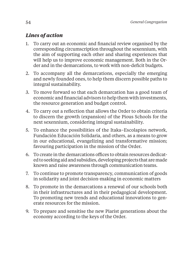- 1. To carry out an economic and financial review organised by the corresponding circumscription throughout the sexennium, with the aim of supporting each other and sharing experiences that will help us to improve economic management. Both in the Order and in the demarcations, to work with non-deficit budgets.
- 2. To accompany all the demarcations, especially the emerging and newly founded ones, to help them discern possible paths to integral sustainability.
- 3. To move forward so that each demarcation has a good team of economic and financial advisors to help them with investments, the resource generation and budget control.
- 4. To carry out a reflection that allows the Order to obtain criteria to discern the growth (expansion) of the Pious Schools for the next sexennium, considering integral sustainability.
- 5. To enhance the possibilities of the Itaka–Escolapios network, Fundación Educación Solidaria, and others, as a means to grow in our educational, evangelizing and transformative mission; favouring participation in the mission of the Order.
- 6. To create in the demarcations offices to obtain resources dedicated to seeking aid and subsidies, developing projects that are made known and raise awareness through communication teams.
- 7. To continue to promote transparency, communication of goods in solidarity and joint decision-making in economic matters
- 8. To promote in the demarcations a renewal of our schools both in their infrastructures and in their pedagogical development. To promoting new trends and educational innovations to generate resources for the mission.
- 9. To prepare and sensitise the new Piarist generations about the economy according to the keys of the Order.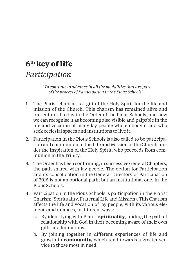# **6th key of life**

# *Participation*

*"To continue to advance in all the modalities that are part of the process of Participation in the Pious Schools".*

- 1. The Piarist charism is a gift of the Holy Spirit for the life and mission of the Church. This charism has remained alive and present until today in the Order of the Pious Schools, and now we can recognise it as becoming also visible and palpable in the life and vocation of many lay people who embody it and who seek ecclesial spaces and institutions to live it.
- 2. Participation in the Pious Schools is also called to be participation and communion in the Life and Mission of the Church, under the inspiration of the Holy Spirit, who proceeds from communion in the Trinity.
- 3. The Order has been confirming, in successive General Chapters, the path shared with lay people. The option for Participation and its consolidation in the General Directory of Participation of 2015 is not an optional path, but an institutional one, in the Pious Schools.
- 4. Participation in the Pious Schools is participation in the Piarist Charism (Spirituality, Fraternal Life and Mission). This Charism aff ects the life and vocation of lay people, with its various elements and nuances, in different ways:
	- a. By identifying with Piarist **spirituality**, finding the path of relationship with God in their becoming aware of their own gifts and limitations.
	- b. By joining together in different experiences of life and growth in **community,** which tend towards a greater service to those most in need.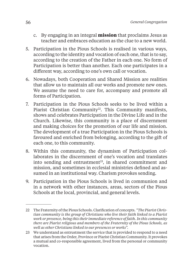- c. By engaging in an integral **mission** that proclaims Jesus as teacher and embraces education as the clue to a new world.
- 5. Participation in the Pious Schools is realised in various ways, according to the identity and vocation of each one, that is to say, according to the creation of the Father in each one. No form of Participation is better than another. Each one participates in a different way, according to one's own call or vocation.
- 6. Nowadays, both Cooperation and Shared Mission are realities that allow us to maintain all our works and promote new ones. We assume the need to care for, accompany and promote all forms of Participation.
- 7. Participation in the Pious Schools seeks to be lived within a Piarist Christian Community<sup>22</sup>. This Community manifests, shows and celebrates Participation in the Divine Life and in the Church. Likewise, this community is a place of discernment and making choices for the promotion of our life and mission. The development of a true Participation in the Pious Schools is favoured and enriched from belonging, according to the gift of each one, to this community.
- 8. Within this community, the dynamism of Participation collaborates in the discernment of one's vocation and translates into sending and entrustment $23$ , in shared commitment and mission, and sometimes in ecclesial ministries defined and assumed in an institutional way. Charism provokes sending.
- 9. Participation in the Pious Schools is lived in communion and in a network with other instances, areas, sectors of the Pious Schools at the local, provincial, and general levels.

<sup>22</sup> The Fraternity of the Pious Schools. Clarification of concepts. "The Piarist Chris*tian community is the group of Christians who live their faith linked to a Piarist work or presence, being this their immediate reference of faith. In this community there are Piarist religious and members of the Fraternity of the Pious Schools, as well as other Christians linked to our presences or works".*

<sup>23</sup> We understand as entrustment the service that is provided to respond to a need that arises from the Order, Province or Piarist Christian Community. It provokes a mutual and co-responsible agreement, lived from the personal or community vocation.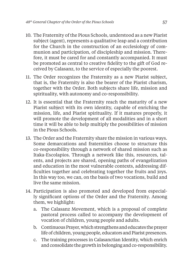- 10. The Fraternity of the Pious Schools, understood as a new Piarist subject (agent), represents a qualitative leap and a contribution for the Church in the construction of an ecclesiology of communion and participation, of discipleship and mission. Therefore, it must be cared for and constantly accompanied. It must be promoted as central to creative fidelity to the gift of God received by Calasanz, to the service of especially the poorest.
- 11. The Order recognizes the Fraternity as a new Piarist subject, that is, the Fraternity is also the bearer of the Piarist charism, together with the Order. Both subjects share life, mission and spirituality, with autonomy and co-responsibility.
- 12. It is essential that the Fraternity reach the maturity of a new Piarist subject with its own identity, capable of enriching the mission, life, and Piarist spirituality. If it matures properly, it will promote the development of all modalities and in a short time it will be able to help multiply the possibilities of mission in the Pious Schools.
- 13. The Order and the Fraternity share the mission in various ways. Some demarcations and fraternities choose to structure this co-responsibility through a network of shared mission such as Itaka-Escolapios. Through a network like this, resources, talents, and projects are shared, opening paths of evangelization and education in the most vulnerable contexts, addressing difficulties together and celebrating together the fruits and joys. In this way too, we can, on the basis of two vocations, build and live the same mission.
- 14. Participation is also promoted and developed from especially significant options of the Order and the Fraternity. Among them, we highlight:
	- a. The Calasanz Movement, which is a proposal of complete pastoral process called to accompany the development of vocation of children, young people and adults.
	- b. Continuous Prayer, which strengthens and educates the prayer life of children, young people, educators and Piarist presences.
	- c. The training processes in Calasanctian Identity, which enrich and consolidate the growth in belonging and co-responsibility.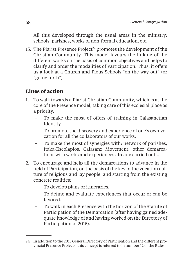All this developed through the usual areas in the ministry: schools, parishes, works of non-formal education, etc.

15. The Piarist Presence Project<sup>24</sup> promotes the development of the Christian Community. This model favours the linking of the different works on the basis of common objectives and helps to clarify and order the modalities of Participation. Thus, it offers us a look at a Church and Pious Schools "on the way out" (or "going forth").

- 1. To walk towards a Piarist Christian Community, which is at the core of the Presence model, taking care of this ecclesial place as a priority.
	- To make the most of offers of training in Calasanctian Identity.
	- To promote the discovery and experience of one's own vocation for all the collaborators of our works.
	- To make the most of synergies with: network of parishes, Itaka-Escolapios, Calasanz Movement, other demarcations with works and experiences already carried out…
- 2. To encourage and help all the demarcations to advance in the field of Participation, on the basis of the key of the vocation culture of religious and lay people, and starting from the existing concrete realities:
	- To develop plans or itineraries.
	- To define and evaluate experiences that occur or can be favored.
	- To walk in each Presence with the horizon of the Statute of Participation of the Demarcation (after having gained adequate knowledge of and having worked on the Directory of Participation of 2015).

<sup>24</sup> In addition to the 2015 General Directory of Participation and the different provincial Presence Projects, this concept is referred to in number 12 of the Rules.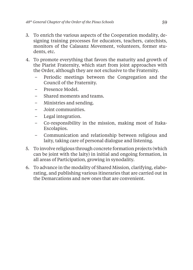- 3. To enrich the various aspects of the Cooperation modality, designing training processes for educators, teachers, catechists, monitors of the Calasanz Movement, volunteers, former students, etc.
- 4. To promote everything that favors the maturity and growth of the Piarist Fraternity, which start from joint approaches with the Order, although they are not exclusive to the Fraternity.
	- Periodic meetings between the Congregation and the Council of the Fraternity.
	- Presence Model.
	- Shared moments and teams.
	- Ministries and sending.
	- Joint communities.
	- Legal integration.
	- Co-responsibility in the mission, making most of Itaka-Escolapios.
	- Communication and relationship between religious and laity, taking care of personal dialogue and listening.
- 5. To involve religious through concrete formation projects (which can be joint with the laity) in initial and ongoing formation, in all areas of Participation, growing in synodality.
- 6. To advance in the modality of Shared Mission, clarifying, elaborating, and publishing various itineraries that are carried out in the Demarcations and new ones that are convenient.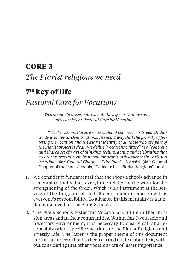# **CORE 3** *The Piarist religious we need*

## **7th key of life**

## *Pastoral Care for Vocations*

*"To promote in a systemic way all the aspects that are part of a consistent Pastoral Care for Vocations".*

*"The Vocations Culture seeks a global coherence between all that we do and live as Demarcations, in such a way that the priority of fostering the vocation and the Piarist identity of all those who are part of the Piarist project is clear. We define "vocations culture" as a "coherent and shared set of ways of thinking, feeling, acting and celebrating that create the necessary environment for people to discover their Christian vocation" (46<sup>th</sup> General Chapter of the Piarist Schools).* (46<sup>th</sup> General Chapter of the Pious Schools, "Called to be a Piarist Religious", no. 8).

- 1. We consider it fundamental that the Pious Schools advance in a mentality that values everything related to the work for the strengthening of the Order, which is an instrument at the service of the Kingdom of God. Its consolidation and growth is everyone's responsibility. To advance in this mentality is a fundamental need for the Pious Schools.
- 2. The Pious Schools foster this Vocational Culture in their mission areas and in their communities. Within this favourable and necessary environment, it is necessary to clearly call and responsibly orient specific vocations to the Piarist Religious and Priestly Life. The latter is the proper theme of this document and of the process that has been carried out to elaborate it, without considering that other vocations are of lesser importance.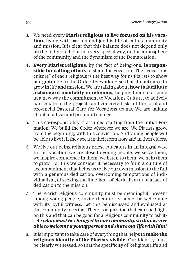- 3. We need every **Piarist religious to live focused on his vocation,** living with passion and joy his life of faith, community and mission. It is clear that this balance does not depend only on the individual, but in a very special way, on the atmosphere of the community and the dynamism of the Demarcation.
- **4. Every Piarist religious**, by the fact of being one, **is responsible for calling others** to share his vocation. The "vocations culture" of each religious is the best way for us Piarists to show our gratitude to the Order: by working so that it continues to grow in life and mission. We are talking about **how to facilitate a change of mentality in religious,** helping them to assume in a new way the commitment to Vocations Culture, to actively participate in the projects and concrete tasks of the local and provincial Pastoral Care for Vocations teams. We are talking about a radical and profound change.
- 5. This co-responsibility is assumed starting from the Initial Formation. We build the Order wherever we are. We Piarists grow, from the beginning, with this conviction. And young people will be able to live it if they see it in their formators and in their elders.
- 6. We live our being religious priest-educators in an integral way. In this vocation we are close to young people, we serve them, we inspire confidence in them, we listen to them, we help them to grow. For this we consider it necessary to form a culture of accompaniment that helps us to live our own mission to the full with a generous dedication, overcoming temptations of individualism, of seeking the limelight, of clericalism or of a lack of dedication to the mission.
- 7. The Piarist religious community must be meaningful, present among young people, invite them to its home, be welcoming with its joyful witness. Let this be discussed and evaluated at the community meeting. There is a question that can shed light on this and that can be good for a religious community to ask itself: *what must be changed in our community so that we are able to welcome a young person and share our life with him?*
- 8. It is important to take care of everything that helps to **make the religious identity of the Piarists visible.** Our identity must be clearly witnessed, so that the specificity of Religious Life and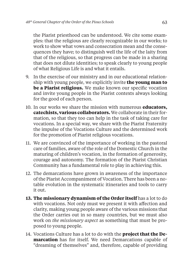the Piarist priesthood can be understood. We cite some examples: that the religious are clearly recognizable in our works; to work to show what vows and consecration mean and the consequences they have; to distinguish well the life of the laity from that of the religious, so that progress can be made in a sharing that does not dilute identities; to speak clearly to young people of what Religious Life is and what it entails.

- 9. In the exercise of our ministry and in our educational relationship with young people, we explicitly invite **the young man to be a Piarist religious.** We make known our specific vocation and invite young people in the Piarist contexts always looking for the good of each person.
- 10. In our works we share the mission with numerous **educators, catechists, various collaborators.** We collaborate in their formation, so that they too can help in the task of taking care for vocations. In a special way, we share with the Piarist Fraternity the impulse of the Vocations Culture and the determined work for the promotion of Piarist religious vocations.
- 11. We are convinced of the importance of working in the pastoral care of families, aware of the role of the Domestic Church in the maturing of children's vocation, in the formation of generosity, courage and autonomy. The formation of the Piarist Christian Community has a fundamental role to play in achieving this.
- 12. The demarcations have grown in awareness of the importance of the Piarist Accompaniment of Vocation. There has been a notable evolution in the systematic itineraries and tools to carry it out.
- 13. The missionary dynamism of the Order itself has a lot to do with vocations. Not only must we present it with affection and clarity, making young people aware of the various missions that the Order carries out in so many countries, but we must also work on *the missionary aspect* as something that must be proposed to young people.
- 14. Vocations Culture has a lot to do with the **project that the Demarcation** has for itself. We need Demarcations capable of "dreaming of themselves" and, therefore, capable of providing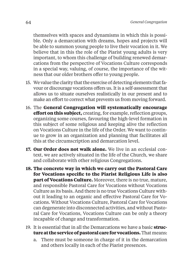themselves with spaces and dynamisms in which this is possible. Only a demarcation with dreams, hopes and projects will be able to summon young people to live their vocation in it. We believe that in this the role of the Piarist young adults is very important, to whom this challenge of building renewed demarcations from the perspective of Vocations Culture corresponds in a special way, valuing, of course, the importance of the witness that our older brothers offer to young people.

- 15. We value the clarity that the exercise of detecting elements that favour or discourage vocations offers us. It is a self-assessment that allows us to situate ourselves realistically in our present and to make an effort to correct what prevents us from moving forward.
- 16. The **General Congregation will systematically encourage effort on this subject,** creating, for example, reflection groups, organizing some courses, favouring the high-level formation in this subject of some religious and keeping alive the reflection on Vocations Culture in the life of the Order. We want to continue to grow in an organization and planning that facilitates all this at the circumscription and demarcation level.
- **17. Our Order does not walk alone.** We live in an ecclesial context, we are actively situated in the life of the Church, we share and collaborate with other religious Congregations.
- **18. The concrete way in which we carry out the Pastoral Care**  for Vocations specific to the Piarist Religious Life is also **part of Vocations Culture.** Moreover, there is no true, mature, and responsible Pastoral Care for Vocations without Vocations Culture as its basis. And there is no true Vocations Culture without it leading to an organic and effective Pastoral Care for Vocations. Without Vocations Culture, Pastoral Care for Vocations can degenerate into disconnected activities, and without Pastoral Care for Vocations, Vocations Culture can be only a theory incapable of change and transformation.
- 19. It is essential that in all the Demarcations we have a basic **structure at the service of pastoral care for vocations.** That means:
	- a. There must be someone in charge of it in the demarcation and others locally in each of the Piarist presences.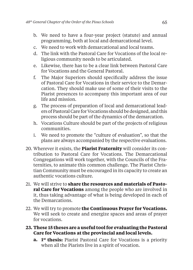- b. We need to have a four-year project (statute) and annual programming, both at local and demarcational level.
- c. We need to work with demarcational and local teams.
- d. The link with the Pastoral Care for Vocations of the local religious community needs to be articulated.
- e. Likewise, there has to be a clear link between Pastoral Care for Vocations and the General Pastoral.
- f. The Major Superiors should specifically address the issue of Pastoral Care for Vocations in their service to the Demarcation. They should make use of some of their visits to the Piarist presences to accompany this important area of our life and mission.
- g. The process of preparation of local and demarcational leaders of Pastoral Care for Vocations should be designed, and this process should be part of the dynamics of the demarcation.
- h. Vocations Culture should be part of the projects of religious communities.
- i. We need to promote the "culture of evaluation", so that the plans are always accompanied by the respective evaluations.
- 20. Wherever it exists, the **Piarist Fraternity** will consider its contribution to Pastoral Care for Vocations. The Demarcational Congregations will work together, with the Councils of the Fraternities, to animate this common challenge. The Piarist Christian Community must be encouraged in its capacity to create an authentic vocations culture.
- 21. We will strive to **share the resources and materials of Pastoral Care for Vocations** among the people who are involved in it, thus taking advantage of what is being developed in each of the Demarcations.
- 22. We will try to promote **the Continuous Prayer for Vocations.** We will seek to create and energize spaces and areas of prayer for vocations.

#### **23. These 15 theses are a useful tool for evaluating the Pastoral Care for Vocations at the provincial and local levels.**

**a. 1st thesis:** Piarist Pastoral Care for Vocations is a priority when all the Piarists live in a spirit of vocation.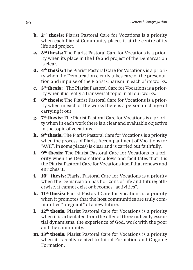- **b. 2nd thesis:** Piarist Pastoral Care for Vocations is a priority when each Piarist Community places it at the centre of its life and project.
- **c. 3rd thesis:** The Piarist Pastoral Care for Vocations is a priority when its place in the life and project of the Demarcation is clear.
- **d. 4th thesis:** The Piarist Pastoral Care for Vocations is a priority when the Demarcation clearly takes care of the presentation and impulse of the Piarist Charism in each of its works.
- **e. 5th thesis:** "The Piarist Pastoral Care for Vocations is a priority when it is really a transversal topic in all our works.
- **f. 6th thesis:** The Piarist Pastoral Care for Vocations is a priority when in each of the works there is a person in charge of carrying it out.
- **g. 7th thesis:** The Piarist Pastoral Care for Vocations is a priority when in each work there is a clear and evaluable objective in the topic of vocations.
- **h. 8th thesis:** The Piarist Pastoral Care for Vocations is a priority when the process of Piarist Accompaniment of Vocations (or "AVE", in some places) is clear and is carried out faithfully.
- **i.** 9<sup>th</sup> thesis: The Piarist Pastoral Care for Vocations is a priority when the Demarcation allows and facilitates that it is the Piarist Pastoral Care for Vocations itself that renews and enriches it.
- *i.* 10<sup>th</sup> thesis: Piarist Pastoral Care for Vocations is a priority when the Demarcation has horizons of life and future; otherwise, it cannot exist or becomes "activities".
- **k. 11th thesis:** Piarist Pastoral Care for Vocations is a priority when it promotes that the host communities are truly communities "pregnant" of a new future.
- **1.** 12<sup>th</sup> thesis: Piarist Pastoral Care for Vocations is a priority when it is articulated from the offer of three radically essential dynamisms: the experience of God, work with the poor and the community.
- **m. 13th thesis:** Piarist Pastoral Care for Vocations is a priority when it is really related to Initial Formation and Ongoing Formation.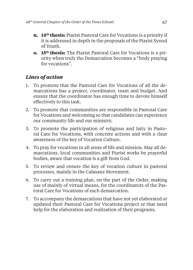- **n. 14th thesis:** Piarist Pastoral Care for Vocations is a priority if it is addressed in depth in the proposals of the Piarist Synod of Youth.
- **o. 15th thesis:** The Piarist Pastoral Care for Vocations is a priority when truly the Demarcation becomes a "body praying for vocations".

- 1. To promote that the Pastoral Care for Vocations of all the demarcations has a project, coordinator, team and budget. And ensure that the coordinator has enough time to devote himself effectively to this task.
- 2. To promote that communities are responsible in Pastoral Care for Vocations and welcoming so that candidates can experience our community life and our ministry.
- 3. To promote the participation of religious and laity in Pastoral Care for Vocations, with concrete actions and with a clear awareness of the key of Vocation Culture.
- 4. To pray for vocations in all areas of life and mission. May all demarcations, local communities and Piarist works be prayerful bodies, aware that vocation is a gift from God.
- 5. To review and ensure the key of vocation culture in pastoral processes, mainly in the Calasanz Movement.
- 6. To carry out a training plan, on the part of the Order, making use of mainly of virtual means, for the coordinators of the Pastoral Care for Vocations of each demarcation.
- 7. To accompany the demarcations that have not yet elaborated or updated their Pastoral Care for Vocations project or that need help for the elaboration and realization of their programs.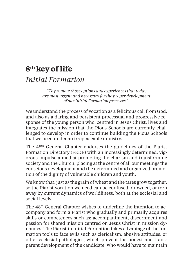# **8th key of life** *Initial Formation*

*"To promote those options and experiences that today are most urgent and necessary for the proper development of our Initial Formation processes".*

We understand the process of vocation as a felicitous call from God, and also as a daring and persistent processual and progressive response of the young person who, centred in Jesus Christ, lives and integrates the mission that the Pious Schools are currently challenged to develop in order to continue building the Pious Schools that we need under an irreplaceable ministry.

The 48th General Chapter endorses the guidelines of the Piarist Formation Directory (FEDE) with an increasingly determined, vigorous impulse aimed at promoting the charism and transforming society and the Church, placing at the centre of all our meetings the conscious development and the determined and organized promotion of the dignity of vulnerable children and youth.

We know that, just as the grain of wheat and the tares grow together, so the Piarist vocation we need can be confused, drowned, or torn away by current dynamics of worldliness, both at the ecclesial and social levels.

The 48<sup>th</sup> General Chapter wishes to underline the intention to accompany and form a Piarist who gradually and primarily acquires skills or competences such as: accompaniment, discernment and passion for shared mission centred on Jesus Christ in mission dynamics. The Piarist in Initial Formation takes advantage of the formation tools to face evils such as clericalism, abusive attitudes, or other ecclesial pathologies, which prevent the honest and transparent development of the candidate, who would have to maintain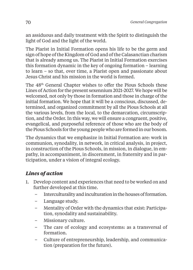an assiduous and daily treatment with the Spirit to distinguish the light of God and the light of the world.

The Piarist in Initial Formation opens his life to be the germ and sign of hope of the Kingdom of God and of the Calasanctian charism that is already among us. The Piarist in Initial Formation exercises this formation dynamic in the key of ongoing formation – learning to learn – so that, over time, a Piarist open and passionate about Jesus Christ and his mission in the world is formed.

The 48<sup>th</sup> General Chapter wishes to offer the Pious Schools these Lines of Action for the present sexennium 2021-2027. We hope will be welcomed, not only by those in formation and those in charge of the initial formation. We hope that it will be a conscious, discussed, determined, and organized commitment by all the Pious Schools at all the various levels, from the local, to the demarcation, circumscription, and the Order. In this way, we will ensure a congruent, positive, evangelical, and purposeful reference of those who are the body of the Pious Schools for the young people who are formed in our bosom.

The dynamics that we emphasize in Initial Formation are: work in communion, synodality, in network, in critical analysis, in project, in construction of the Pious Schools, in mission, in dialogue, in empathy, in accompaniment, in discernment, in fraternity and in participation, under a vision of integral ecology.

- 1. Develop content and experiences that need to be worked on and further developed at this time.
	- Interculturality and inculturation in the houses of formation.
	- Language study.
	- Mentality of Order with the dynamics that exist: Participation, synodality and sustainability.
	- Missionary culture.
	- The care of ecology and ecosystems: as a transversal of formation.
	- Culture of entrepreneurship, leadership, and communication (preparation for the future).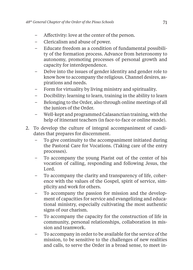- Affectivity: love at the center of the person.
- Clericalism and abuse of power.
- Educate freedom as a condition of fundamental possibility of the formation process. Advance from heteronomy to autonomy, promoting processes of personal growth and capacity for interdependence.
- Delve into the issues of gender identity and gender role to know how to accompany the religious. Channel desires, aspirations and needs.
- Form for virtuality by living ministry and spirituality.
- Docibility: learning to learn, training in the ability to learn
- Belonging to the Order, also through online meetings of all the juniors of the Order.
- Well-kept and programmed Calasanctian training, with the help of itinerant teachers (in face-to-face or online mode).
- 2. To develop the culture of integral accompaniment of candidates that prepares for discernment.
	- To give continuity to the accompaniment initiated during the Pastoral Care for Vocations. (Taking care of the entry processes).
	- To accompany the young Piarist out of the center of his vocation of calling, responding and following Jesus, the Lord.
	- To accompany the clarity and transparency of life, coherence with the values of the Gospel, spirit of service, simplicity and work for others.
	- To accompany the passion for mission and the development of capacities for service and evangelizing and educational ministry, especially cultivating the most authentic signs of our charism.
	- To accompany the capacity for the construction of life in community, personal relationships, collaboration in mission and teamwork.
	- To accompany in order to be available for the service of the mission, to be sensitive to the challenges of new realities and calls, to serve the Order in a broad sense, to meet in-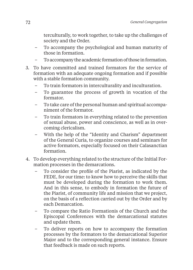terculturally, to work together, to take up the challenges of society and the Order.

- To accompany the psychological and human maturity of those in formation.
- To accompany the academic formation of those in formation.
- 3. To have committed and trained formators for the service of formation with an adequate ongoing formation and if possible with a stable formation community.
	- To train formators in interculturality and inculturation.
	- To guarantee the process of growth in vocation of the formator.
	- To take care of the personal human and spiritual accompaniment of the formator.
	- To train formators in everything related to the prevention of sexual abuse, power and conscience, as well as in overcoming clericalism.
	- With the help of the "Identity and Charism" department of the General Curia, to organize courses and seminars for active formators, especially focused on their Calasanctian formation.
- 4. To develop everything related to the structure of the Initial Formation processes in the demarcations.
	- To consider the profile of the Piarist, as indicated by the FEDE, for our time: to know how to perceive the skills that must be developed during the formation to work them. And in this sense, to embody in formation the future of the Piarist, of community life and mission that we project, on the basis of a reflection carried out by the Order and by each Demarcation.
	- To compare the Ratio Formationis of the Church and the Episcopal Conferences with the demarcational statutes and update them.
	- To deliver reports on how to accompany the formation processes by the formators to the demarcational Superior Major and to the corresponding general instance. Ensure that feedback is made on such reports.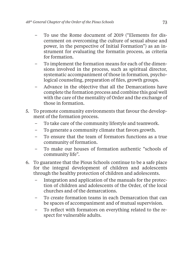- To use the Rome document of 2019 ("Elements for discernment on overcoming the culture of sexual abuse and power, in the perspective of Initial Formation") as an instrument for evaluating the formatin process, as criteria for formation.
- To implement the formation means for each of the dimensions involved in the process, such as spiritual director, systematic accompaniment of those in formation, psychological counseling, preparation of files, growth groups.
- Advance in the objective that all the Demarcations have complete the formation process and combine this goal well with the care of the mentality of Order and the exchange of those in formation.
- 5. To promote community environments that favour the development of the formation process.
	- To take care of the community lifestyle and teamwork.
	- To generate a community climate that favors growth.
	- To ensure that the team of formators functions as a true community of formation.
	- To make our houses of formation authentic "schools of community life".
- 6. To guarantee that the Pious Schools continue to be a safe place for the integral development of children and adolescents through the healthy protection of children and adolescents.
	- Integration and application of the manuals for the protection of children and adolescents of the Order, of the local churches and of the demarcations.
	- To create formation teams in each Demarcation that can be spaces of accompaniment and of mutual supervision.
	- To reflect with formators on everything related to the respect for vulnerable adults.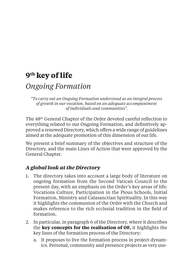# **9th key of life**

## *Ongoing Formation*

*"To carry out an Ongoing Formation understood as an integral process of growth in our vocation, based on an adequate accompaniment of individuals and communities".*

The 48<sup>th</sup> General Chapter of the Order devoted careful reflection to everything related to our Ongoing Formation, and definitively approved a renewed Directory, which offers a wide range of guidelines aimed at the adequate promotion of this dimension of our life.

We present a brief summary of the objectives and structure of the Directory, and the main Lines of Action that were approved by the General Chapter.

### *A global look at the Directory*

- 1. The directory takes into account a large body of literature on ongoing formation from the Second Vatican Council to the present day, with an emphasis on the Order's key areas of life: Vocations Culture, Participation in the Pious Schools, Initial Formation, Ministry and Calasanctian Spirituality. In this way it highlights the communion of the Order with the Church and makes reference to the rich ecclesial tradition in the field of formation.
- 2. In particular, in paragraph 6 of the Directory, where it describes the **key concepts for the realisation of OF,** it highlights the key lines of the formation process of the Directory:
	- a. It proposes to live the formation process in project dynamics. Personal, community and presence projects as very use-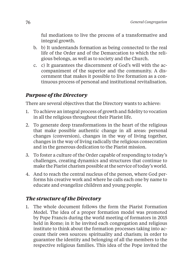ful mediations to live the process of a transformative and integral growth.

- b. b) It understands formation as being connected to the real life of the Order and of the Demarcation to which the religious belongs, as well as to society and the Church.
- c. c) It guarantees the discernment of God's will with the accompaniment of the superior and the community. A discernment that makes it possible to live formation as a continuous process of personal and institutional revitalisation.

### *Purpose of the Directory*

There are several objectives that the Directory wants to achieve:

- 1. To achieve an integral process of growth and fidelity to vocation in all the religious throughout their Piarist life.
- 2. To generate deep transformations in the heart of the religious that make possible authentic change in all areas: personal changes (conversion), changes in the way of living together, changes in the way of living radically the religious consecration and in the generous dedication to the Piarist mission.
- 3. To foster a culture of the Order capable of responding to today's challenges, creating dynamics and structures that continue to make the Piarist charism possible at the service of today's world.
- 4. And to reach the central nucleus of the person, where God performs his creative work and where he calls each one by name to educate and evangelize children and young people.

### *The structure of the Directory*

1. The whole document follows the form the Piarist Formation Model. The idea of a proper formation model was promoted by Pope Francis during the world meeting of formators in 2015 held in Rome; in it he invited each congregation and religious institute to think about the formation processes taking into account their own sources: spirituality and charism; in order to guarantee the identity and belonging of all the members to the respective religious families. This idea of the Pope invited the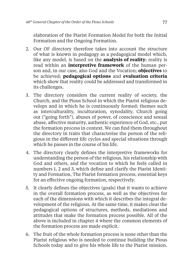elaboration of the Piarist Formation Model for both the Initial Formation and the Ongoing Formation.

- 2. Our OF directory therefore takes into account the structure of what is known in pedagogy as a pedagogical model which, like any model, is based on the **analysis of reality**; reality is read within an **interpretive framework** of the human person and, in our case, also God and the Vocation; **objectives** to be achieved; **pedagogical options** and **evaluation criteria** which show that reality could be addressed and transformed in its challenges.
- 3. The directory considers the current reality of society, the Church, and the Pious School in which the Piarist religious develops and in which he is continuously formed: themes such as interculturality, inculturation, synodality, Church going out ("going forth"), abuses of power, of conscience and sexual abuse, affective maturity, authentic experience of God, etc., put the formation process in context. We can find them throughout the directory in traits that characterise the person of the religious in the different life cycles and special situations through which he passes in the course of his life.
- 4. The directory clearly defines the interpretive frameworks for understanding the person of the religious, his relationship with God and others, and the vocation to which he feels called in numbers 1, 2 and 3, which define and clarify the Piarist Identity and Formation, The Piarist formation process, essential keys for an effective ongoing formation, respectively.
- 5. It clearly defines the objectives (goals) that it wants to achieve in the overall formation process, as well as the objectives for each of the dimensions with which it describes the integral development of the religious. At the same time, it makes clear the pedagogical options of structures, methods, mediations and attitudes that make the formation process possible. All of the above is included in chapter 4 where the common elements of the formation process are made explicit.
- 6. The fruit of the whole formation process is none other than the Piarist religious who is needed to continue building the Pious Schools today and to give his whole life to the Piarist mission.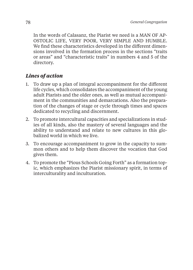In the words of Calasanz, the Piarist we need is a MAN OF AP-OSTOLIC LIFE, VERY POOR, VERY SIMPLE AND HUMBLE. We find these characteristics developed in the different dimensions involved in the formation process in the sections "traits or areas" and "characteristic traits" in numbers 4 and 5 of the directory.

#### *Lines of action*

- 1. To draw up a plan of integral accompaniment for the different life cycles, which consolidates the accompaniment of the young adult Piarists and the older ones, as well as mutual accompaniment in the communities and demarcations. Also the preparation of the changes of stage or cycle through times and spaces dedicated to recycling and discernment.
- 2. To promote intercultural capacities and specializations in studies of all kinds, also the mastery of several languages and the ability to understand and relate to new cultures in this globalized world in which we live.
- 3. To encourage accompaniment to grow in the capacity to summon others and to help them discover the vocation that God gives them.
- 4. To promote the "Pious Schools Going Forth" as a formation topic, which emphasizes the Piarist missionary spirit, in terms of interculturality and inculturation.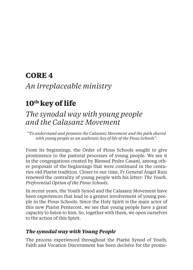## **CORE 4**

*An irreplaceable ministry*

# **10th key of life**

# *The synodal way with young people and the Calasanz Movement*

*"To understand and promote the Calasanz Movement and the path shared with young people as an authentic key of life of the Pious Schools".*

From its beginnings, the Order of Pious Schools sought to give prominence to the pastoral processes of young people. We see it in the congregations created by Blessed Pedro Casani, among other proposals of the beginnings that were continued in the centuries-old Piarist tradition. Closer to our time, Fr General Ángel Ruiz renewed the centrality of young people with his letter: *The Youth, Preferential Option of the Pious Schools*.

In recent years, the Youth Synod and the Calasanz Movement have been experiences that lead to a greater involvement of young people in the Pious Schools. Since the Holy Spirit is the main actor of this new Piarist Pentecost, we see that young people have a great capacity to listen to him. So, together with them, we open ourselves to the action of this Spirit.

### *The synodal way with Young People*

The process experienced throughout the Piarist Synod of Youth, Faith and Vocation Discernment has been decisive for the promo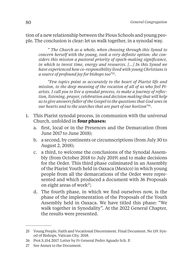tion of a new relationship between the Pious Schools and young people. The conclusion is clear: let us walk together, in a synodal way.

*" The Church as a whole, when choosing through this Synod to concern herself with the young, took a very definite option: she considers this mission a pastoral priority of epoch-making signifi cance, in which to invest time, energy and resources. […] In this Synod we have experienced how co-responsibility lived with young Christians is a source of profound joy for bishops too"25.*

*"Few topics point so accurately to the heart of Piarist life and mission, to the deep meaning of the vocation of all of us who feel Pi*arists. I call you to live a synodal process, to make a journey of reflec*tion, listening, prayer, celebration and decision making that will help us to give answers fuller of the Gospel to the questions that God sows in our hearts and to the searches that are part of our horizon"26.*

- 1. This Piarist synodal process, in communion with the universal Church, unfolded in **four phases:**
	- a. first, local or in the Presences and the Demarcation (from June 2017 to June 2018);
	- b. a second, by continents or circumscriptions (from July 30 to August 2, 2018);
	- c. a third, to welcome the conclusions of the Synodal Assembly (from October 2018 to July 2019) and to make decisions for the Order. This third phase culminated in an Assembly of the Piarist Youth held in Oaxaca (Mexico) in which young people from all the demarcations of the Order were represented and which produced a document with 36 Proposals on eight areas of work $27$ ;
	- d. The fourth phase, in which we find ourselves now, is the phase of the implementation of the Proposals of the Youth Assembly held in Oaxaca. We have titled this phase: "We walk together in Synodality". At the 2022 General Chapter, the results were presented.

<sup>25</sup> Young People, Faith and Vocational Discernment. Final Document. No 119. Synod of Bishops. Vatican City. 2018.

<sup>26</sup> Prot.S.154.2017. Letter by Fr General Pedro Aguado Sch. P.

<sup>27</sup> See Annex to the Document.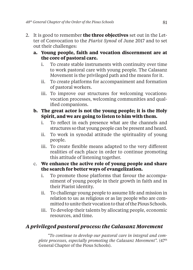- 2. It is good to remember **the three objectives** set out in the Letter of Convocation to the *Piarist Synod* of June 2017 and to set out their challenges:
	- **a. Young people, faith and vocation discernment are at the core of pastoral care.**
		- i. To create stable instruments with continuity over time to work pastoral care with young people. The Calasanz Movement is the privileged path and the means for it.
		- ii. To create platforms for accompaniment and formation of pastoral workers.
		- iii. To improve our structures for welcoming vocations: vocation processes, welcoming communities and qualified companions.

#### **b. The great actor is not the young people; it is the Holy Spirit, and we are going to listen to him with them.**

- i. To reflect in each presence what are the channels and structures so that young people can be present and heard.
- ii. To work in synodal attitude the spirituality of young people.
- iii. To create flexible means adapted to the very different realities of each place in order to continue promoting this attitude of listening together.

#### c. **We enhance the active role of young people and share the search for better ways of evangelization.**

- i. To promote those platforms that favour the accompaniment of young people in their growth in faith and in their Piarist identity.
- ii. To challenge young people to assume life and mission in relation to us: as religious or as lay people who are committed to unite their vocation to that of the Pious Schools.
- iii. To develop their talents by allocating people, economic resources, and time.

### *A privileged pastoral process: the Calasanz Movement*

*"To continue to develop our pastoral care in integral and complete processes, especially promoting the Calasanz Movement".*  $(47<sup>th</sup>$ General Chapter of the Pious Schools).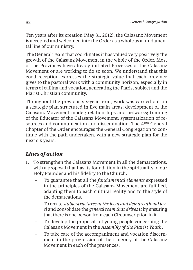Ten years after its creation (May 31, 2012), the Calasanz Movement is accepted and welcomed into the Order as a whole as a fundamental line of our ministry.

The General Team that coordinates it has valued very positively the growth of the Calasanz Movement in the whole of the Order. Most of the Provinces have already initiated Processes of the Calasanz Movement or are working to do so soon. We understand that this good reception expresses the strategic value that each province gives to the pastoral work with a community horizon, especially in terms of calling and vocation, generating the Piarist subject and the Piarist Christian community.

Throughout the previous six-year term, work was carried out on a strategic plan structured in five main areas: development of the Calasanz Movement model; relationships and networks; training of the Educator of the Calasanz Movement; systematization of resources and communication and dissemination. The 48<sup>th</sup> General Chapter of the Order encourages the General Congregation to continue with the path undertaken, with a new strategic plan for the next six years.

### *Lines of action*

- 1. To strengthen the Calasanz Movement in all the demarcations, with a proposal that has its foundation in the spirituality of our Holy Founder and his fidelity to the Church.
	- To guarantee that all the *fundamental elements* expressed in the principles of the Calasanz Movement are fulfilled, adapting them to each cultural reality and to the style of the demarcations.
	- To create *stable structures at the local and demarcational level* and consolidate the *general team that drives it* by ensuring that there is one person from each Circumscription in it.
	- To develop the proposals of young people concerning the Calasanz Movement in the *Assembly of the Piarist Youth.*
	- To take care of the accompaniment and vocation discernment in the progression of the itinerary of the Calasanz Movement in each of the presences.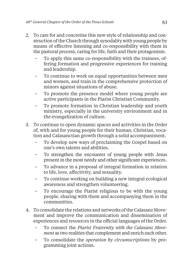- 2. To care for and concretise this new style of relationship and construction of the Church through synodality with young people by means of effective listening and co-responsibility with them in the pastoral process, caring for life, faith and their protagonism.
	- To apply this same co-responsibility with the trainees, offering formation and progressive experiences for training and leadership.
	- To continue to work on equal opportunities between men and women, and train in the comprehensive protection of minors against situations of abuse.
	- To promote the presence model where young people are active participants in the Piarist Christian Community.
	- To promote formation in Christian leadership and youth ministry, especially in the university environment and in the evangelization of culture.
- 3. To continue to open dynamic spaces and activities in the Order of, with and for young people for their human, Christian, vocation and Calasanctian growth through a solid accompaniment.
	- To develop new ways of proclaiming the Gospel based on one's own talents and abilities.
	- To strengthen the encounter of young people with Jesus present in the most needy and other significant experiences.
	- To advance in a proposal of integral formation in relation to life, love, affectivity, and sexuality.
	- To continue working on building a new integral ecological awareness and strengthen volunteering.
	- To encourage the Piarist religious to be with the young people, sharing with them and accompanying them in the communities.
- 4. To consolidate the relations and networks of the Calasanz Movement and improve the communication and dissemination of experiences and resources in the official languages of the Order.
	- To connect the *Piarist Fraternity with the Calasanz Movement* as two realities that complement and enrich each other.
	- To consolidate the *operation by circumscriptions* by programming joint actions.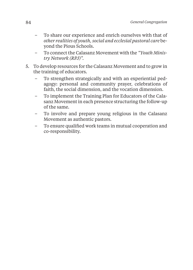- To share our experience and enrich ourselves with that of *other realities of youth, social and ecclesial pastoral care* beyond the Pious Schools.
- To connect the Calasanz Movement with the *"Youth Ministry Network (RPJ)".*
- 5. To develop resources for the Calasanz Movement and to grow in the training of educators.
	- To strengthen strategically and with an experiential pedagogy: personal and community prayer, celebrations of faith, the social dimension, and the vocation dimension.
	- To implement the Training Plan for Educators of the Calasanz Movement in each presence structuring the follow-up of the same.
	- To involve and prepare young religious in the Calasanz Movement as authentic pastors.
	- To ensure qualified work teams in mutual cooperation and co-responsibility.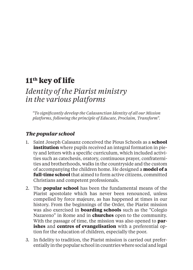# **11th key of life**

### *Identity of the Piarist ministry in the various platforms*

*"To signifi cantly develop the Calasanctian Identity of all our Mission platforms, following the principle of Educate, Proclaim, Transform".*

#### *The popular school*

- 1. Saint Joseph Calasanz conceived the Pious Schools as a **school institution** where pupils received an integral formation in piety and letters with a specific curriculum, which included activities such as catechesis, oratory, continuous prayer, confraternities and brotherhoods, walks in the countryside and the custom of accompanying the children home. He designed a **model of a full-time school** that aimed to form active citizens, committed Christians and competent professionals.
- 2. The **popular school** has been the fundamental means of the Piarist apostolate which has never been renounced, unless compelled by force majeure, as has happened at times in our history. From the beginnings of the Order, the Piarist mission was also exercised in **boarding schools** such as the "Colegio Nazareno" in Rome and in **churches** open to the community. With the passage of time, the mission was also opened to **parishes** and **centres of evangelisation** with a preferential option for the education of children, especially the poor.
- 3. In fidelity to tradition, the Piarist mission is carried out preferentially in the popular school in countries where social and legal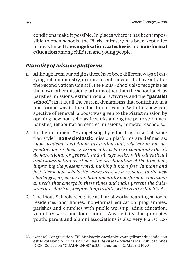conditions make it possible. In places where it has been impossible to open schools, the Piarist ministry has been kept alive in areas linked to **evangelisation, catechesis** and **non-formal education** among children and young people.

### *Plurality of mission platforms*

- 1. Although from our origins there have been different ways of carrying out our ministry, in more recent times and, above all, after the Second Vatican Council, the Pious Schools also recognize as their own other mission platforms other than the school such as parishes, missions, extracurricular activities and the **"parallel school";** that is, all the current dynamisms that contribute in a non-formal way to the education of youth. With this new perspective of renewal, a boost was given to the Piarist mission by opening new non-scholastic works among the poorest: homes, parishes, rehabilitation centres, missions, homework schools…
- 2. In the document "Evangelising by educating in a Calasanctian style", **non-scholastic** mission platforms are defined as: *"non-academic activity or institution that, whether or not depending on a school, is assumed by a Piarist community (local, demarcational or general) and always seeks, with educational and Calasanctian overtones, the proclamation of the Kingdom, improving the present world, making it more free, humane and just. These non-scholastic works arise as a response to the new challenges, urgencies and fundamentally non-formal educational needs that emerge in these times and make present the Cala*sanctian charism, keeping it up to date, with creative fidelity"<sup>28</sup>.
- 3. The Pious Schools recognise as Piarist works boarding schools, residences and homes, non-formal education programmes, parishes and churches with public worship, adult education, voluntary work and foundations. Any activity that promotes youth, parent and alumni associations is also very Piarist. Ex-

<sup>28</sup> General Congregation: "El Ministerio escolapio: evangelizar educando con estilo calasancio", in *Misión Compartida en las Escuelas Pías*. Publicaciones ICCE. Colección "CUADERNOS" n.23, Paragraph 42. Madrid 1999.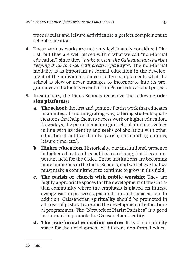tracurricular and leisure activities are a perfect complement to school education.

- 4. These various works are not only legitimately considered Piarist, but they are well placed within what we call "non-formal education", since they *"make present the Calasanctian charism keeping it up to date, with creative fidelity*<sup>229</sup>. The non-formal modality is as important as formal education in the development of the individuals, since it often complements what the school is slow or never manages to incorporate into its programmes and which is essential in a Piarist educational project.
- 5. In summary, the Pious Schools recognize the following **mission platforms:**
	- **a. The school:** the first and genuine Piarist work that educates in an integral and integrating way, offering students qualifications that help them to access work or higher education. Nowadays, the popular and integral school promotes values in line with its identity and seeks collaboration with other educational entities (family, parish, surrounding entities, leisure time, etc.).
	- **b. Higher education.** Historically, our institutional presence in higher education has not been so strong, but it is an important field for the Order. These institutions are becoming more numerous in the Pious Schools, and we believe that we must make a commitment to continue to grow in this field.
	- **c. The parish or church with public worship:** They are highly appropriate spaces for the development of the Christian community where the emphasis is placed on liturgy, evangelisation processes, pastoral care and social action. In addition, Calasanctian spirituality should be promoted in all areas of pastoral care and the development of educational programmes. The "Network of Piarist Parishes" is a good instrument to promote the Calasanctian identity.
	- **d. The non-formal education centre:** It is a community space for the development of different non-formal educa-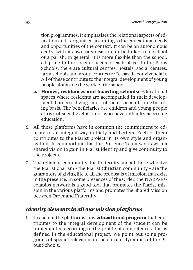tion programmes. It emphasises the relational aspects of education and is organised according to the educational needs and opportunities of the context. It can be an autonomous centre with its own organisation, or be linked to a school or a parish. In general, it is more flexible than the school, adapting to the specific needs of each place. In the Pious Schools, there are cultural centres, hostels, social centres, farm schools and group centres (or "casas de convivencia"). All of these contribute to the integral development of young people alongside the work of the school.

- **e. Homes, residences and boarding schools:** Educational spaces where residents are accompanied in their developmental process, living - most of them - on a full-time boarding basis. The beneficiaries are children and young people at risk of social exclusion or who have difficulty accessing education.
- 6. All these platforms have in common the commitment to educate in an integral way in Piety and Letters. Each of them contributes to the Piarist project in its own style and organization. It is important that the Presence Team works with a shared vision to gain in Piarist identity and give continuity to the projects.
- 7. The religious community, the Fraternity and all those who live the Piarist charism - the Piarist Christian community - are the guarantors of giving life to all the proposals of mission that exist in the presence. In some presences of the Order, the ITAKA-Escolapios network is a good tool that promotes the Piarist mission in the various platforms and promotes the Shared Mission between Order and Fraternity.

### *Identity elements in all our mission platforms*

1. In each of the platforms, any **educational program** that contributes to the integral development of the student can be implemented according to the profile of competences that is defined in the educational project. We point out some programs of special relevance in the current dynamics of the Pious Schools: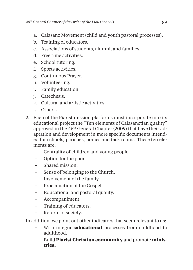- a. Calasanz Movement (child and youth pastoral processes).
- b. Training of educators.
- c. Associations of students, alumni, and families.
- d. Free time activities.
- e. School tutoring.
- f. Sports activities.
- g. Continuous Prayer.
- h. Volunteering.
- i. Family education.
- j. Catechesis.
- k. Cultural and artistic activities.
- l. Other…
- 2. Each of the Piarist mission platforms must incorporate into its educational project the "Ten elements of Calasanctian quality" approved in the 46th General Chapter (2009) that have their adaptation and development in more specific documents intended for schools, parishes, homes and task rooms. These ten elements are:
	- Centrality of children and young people.
	- Option for the poor.
	- Shared mission.
	- Sense of belonging to the Church.
	- Involvement of the family.
	- Proclamation of the Gospel.
	- Educational and pastoral quality.
	- Accompaniment.
	- Training of educators.
	- Reform of society.

In addition, we point out other indicators that seem relevant to us:

- With integral **educational** processes from childhood to adulthood.
- Build **Piarist Christian community** and promote **ministries.**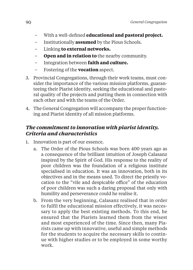- With a well-defi ned **educational and pastoral project.**
- Institutionally **assumed** by the Pious Schools.
- Linking **to external networks.**
- **Open and in relation to** the nearby community.
- Integration between **faith and culture.**
- Fostering of the **vocation** aspect.
- 3. Provincial Congregations, through their work teams, must consider the importance of the various mission platforms, guaranteeing their Piarist identity, seeking the educational and pastoral quality of the projects and putting them in connection with each other and with the teams of the Order.
- 4. The General Congregation will accompany the proper functioning and Piarist identity of all mission platforms.

### *The commitment to innovation with piarist identity. Criteria and characteristics*

- 1. Innovation is part of our essence.
	- a. The Order of the Pious Schools was born 400 years ago as a consequence of the brilliant intuition of Joseph Calasanz inspired by the Spirit of God. His response to the reality of poor children was the foundation of a religious institute specialised in education. It was an innovation, both in its objectives and in the means used. To direct the priestly vocation to the "vile and despicable office" of the education of poor children was such a daring proposal that only with humility and perseverance could he realise it.
	- b. From the very beginning, Calasanz realised that in order to fulfil the educational mission effectively, it was necessary to apply the best existing methods. To this end, he ensured that the Piarists learned them from the wisest and most experienced of the time. Since then, many Piarists came up with innovative, useful and simple methods for the students to acquire the necessary skills to continue with higher studies or to be employed in some worthy work.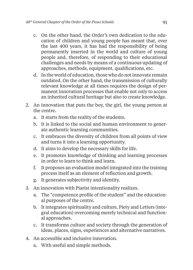- c. On the other hand, the Order's own dedication to the education of children and young people has meant that, over the last 400 years, it has had the responsibility of being permanently inserted in the world and culture of young people and, therefore, of responding to their educational challenges and needs by means of a continuous updating of approaches, methods, equipment, qualifications, etc.
- d. In the world of education, those who do not innovate remain outdated. On the other hand, the transmission of culturally relevant knowledge at all times requires the design of permanent innovation processes that enable not only to access an inherited cultural heritage but also to create knowledge.
- 2. An innovation that puts the boy, the girl, the young person at the centre.
	- a. It starts from the reality of the students.
	- b. It is linked to the social and human environment to generate authentic learning communities.
	- c. It embraces the diversity of children from all points of view and turns it into a learning opportunity.
	- d. It aims to develop the necessary skills for life.
	- e. It promotes knowledge of thinking and learning processes in order to learn to think and learn.
	- f. It proposes an evaluation model integrated into the training process itself as an element of reflection and growth.
	- g. It generates subjectivity and identity.
- 3. An innovation with Piarist intentionality realizes.
	- a. The "competence profile of the student" and the educational purposes of the centre.
	- b. It integrates spirituality and culture, Piety and Letters (integral education) overcoming merely technical and functional approaches.
	- c. It transforms culture and society through the generation of ideas, places, signs, experiences and alternative narratives.
- 4. An accessible and inclusive innovation.
	- a. With useful and simple methods.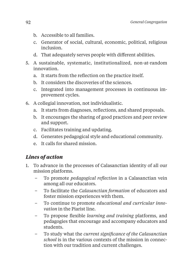- b. Accessible to all families.
- c. Generator of social, cultural, economic, political, religious inclusion.
- d. That adequately serves people with different abilities.
- 5. A sustainable, systematic, institutionalized, non-at-random innovation.
	- a. It starts from the reflection on the practice itself.
	- b. It considers the discoveries of the sciences.
	- c. Integrated into management processes in continuous improvement cycles.
- 6. A collegial innovation, not individualistic.
	- a. It starts from diagnoses, reflections, and shared proposals.
	- b. It encourages the sharing of good practices and peer review and support.
	- c. Facilitates training and updating.
	- d. Generates pedagogical style and educational community.
	- e. It calls for shared mission.

### *Lines of action*

- 1. To advance in the processes of Calasanctian identity of all our mission platforms.
	- To promote *pedagogical refl ection* in a Calasanctian vein among all our educators.
	- To facilitate the *Calasanctian formation* of educators and foster mission experiences with them.
	- To continue to promote *educational and curricular innovation* in the Piarist line.
	- To propose fl exible *learning and training* platforms, and pedagogies that encourage and accompany educators and students.
	- To study what the *current signifi cance of the Calasanctian school* is in the various contexts of the mission in connection with our tradition and current challenges.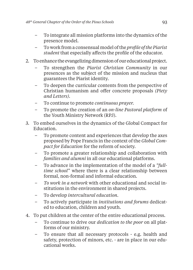- To integrate all mission platforms into the dynamics of the presence model.
- To work from a consensual model of the *profi le of the Piarist student* that especially affects the profile of the educator.
- 2. To enhance the evangelizing dimension of our educational project.
	- To strengthen the *Piarist Christian Community* in our presences as the subject of the mission and nucleus that guarantees the Piarist identity.
	- To deepen the curricular contents from the perspective of Christian humanism and offer concrete proposals *(Piety and Letters).*
	- To continue to promote *continuous prayer.*
	- To promote the creation of an *on-line Pastoral platform* of the Youth Ministry Network (RPJ).
- 3. To embed ourselves in the dynamics of the Global Compact for Education.
	- To promote content and experiences that develop the axes proposed by Pope Francis in the context of the *Global Compact for Education* for the reform of society.
	- To promote a greater relationship and collaboration with *families and alumni* in all our educational platforms.
	- To advance in the implementation of the model of a *"fulltime school"* where there is a clear relationship between formal, non-formal and informal education.
	- *To work in a network* with other educational and social institutions in the environment in shared projects.
	- To develop *intercultural education.*
	- To actively participate in *institutions and forums* dedicated to education, children and youth.
- 4. To put children at the center of the entire educational process.
	- To continue to drive our *dedication to the poor* on all platforms of our ministry.
	- To ensure that all necessary protocols e.g. health and safety, protection of minors, etc. - are in place in our educational works.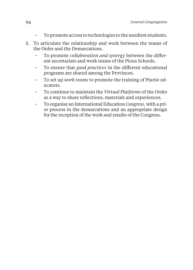- To promote access to technologies to the neediest students.
- 5. To articulate the relationship and work between the teams of the Order and the Demarcations.
	- To promote *collaboration and synergy* between the different secretariats and work teams of the Pious Schools.
	- To ensure that *good practices* in the different educational programs are shared among the Provinces.
	- To set up *work teams* to promote the training of Piarist educators.
	- To continue to maintain the *Virtual Platforms* of the Order as a way to share reflections, materials and experiences.
	- To organise an International Education *Congress,* with a prior process in the demarcations and an appropriate design for the reception of the work and results of the Congress.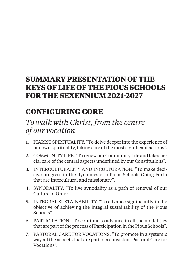# **SUMMARY PRESENTATION OF THE KEYS OF LIFE OF THE PIOUS SCHOOLS FOR THE SEXENNIUM 2021-2027**

# **CONFIGURING CORE**

# *To walk with Christ, from the centre of our vocation*

- 1. PIARIST SPIRITUALITY. "To delve deeper into the experience of our own spirituality, taking care of the most significant actions".
- 2. COMMUNITY LIFE. "To renew our Community Life and take special care of the central aspects underlined by our Constitutions".
- 3. INTERCULTURALITY AND INCULTURATION. "To make decisive progress in the dynamics of a Pious Schools Going Forth that are intercultural and missionary".
- 4. SYNODALITY. "To live synodality as a path of renewal of our Culture of Order".
- 5. INTEGRAL SUSTAINABILITY. "To advance significantly in the objective of achieving the integral sustainability of the Pious Schools".
- 6. PARTICIPATION. "To continue to advance in all the modalities that are part of the process of Participation in the Pious Schools".
- 7. PASTORAL CARE FOR VOCATIONS. "To promote in a systemic way all the aspects that are part of a consistent Pastoral Care for Vocations".